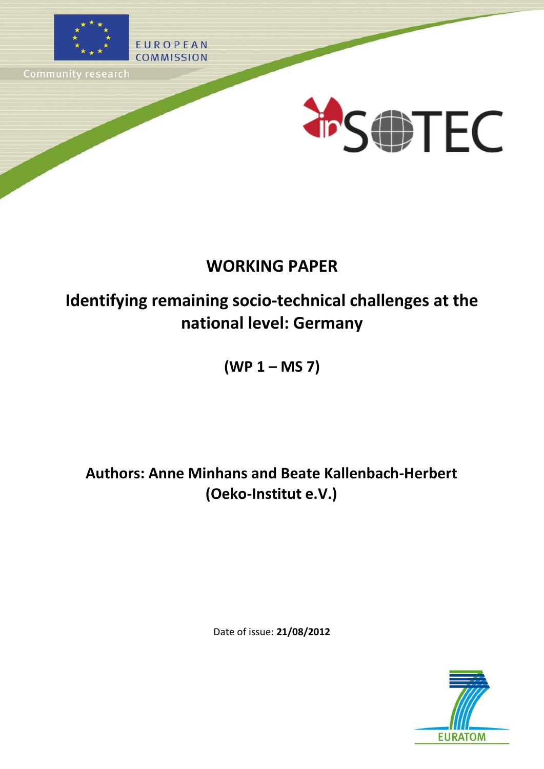





# **WORKING PAPER**

# **Identifying remaining socio-technical challenges at the national level: Germany**

**(WP 1 – MS 7)**

**Authors: Anne Minhans and Beate Kallenbach-Herbert (Oeko-Institut e.V.)**

Date of issue: **21/08/2012**

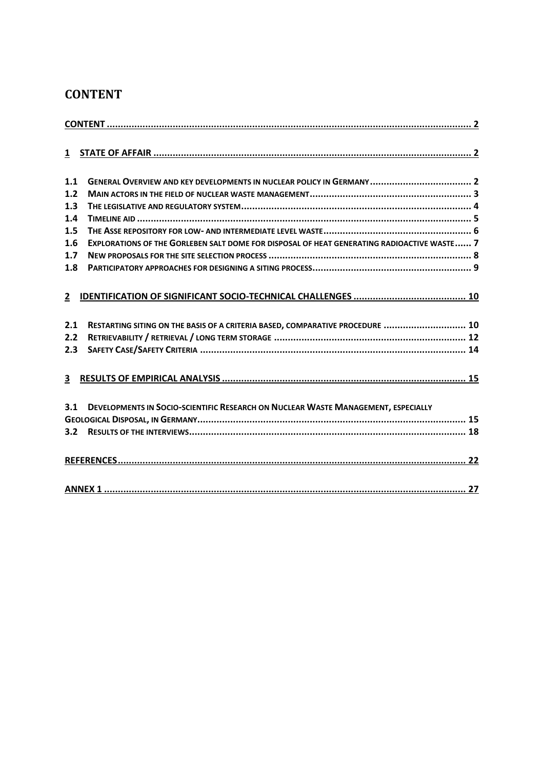## <span id="page-1-0"></span>**CONTENT**

| 1.1          |                                                                                            |
|--------------|--------------------------------------------------------------------------------------------|
| 1.2          |                                                                                            |
| 1.3          |                                                                                            |
| $1.4$        |                                                                                            |
| 1.5          |                                                                                            |
| 1.6          | EXPLORATIONS OF THE GORLEBEN SALT DOME FOR DISPOSAL OF HEAT GENERATING RADIOACTIVE WASTE 7 |
| 1.7          |                                                                                            |
| 1.8          |                                                                                            |
|              |                                                                                            |
| $\mathbf{2}$ |                                                                                            |
| 2.1          | RESTARTING SITING ON THE BASIS OF A CRITERIA BASED, COMPARATIVE PROCEDURE  10              |
| 2.2          |                                                                                            |
| 2.3          |                                                                                            |
| 3            |                                                                                            |
| 3.1          | DEVELOPMENTS IN SOCIO-SCIENTIFIC RESEARCH ON NUCLEAR WASTE MANAGEMENT, ESPECIALLY          |
|              |                                                                                            |
| 3.2          |                                                                                            |
|              |                                                                                            |
|              |                                                                                            |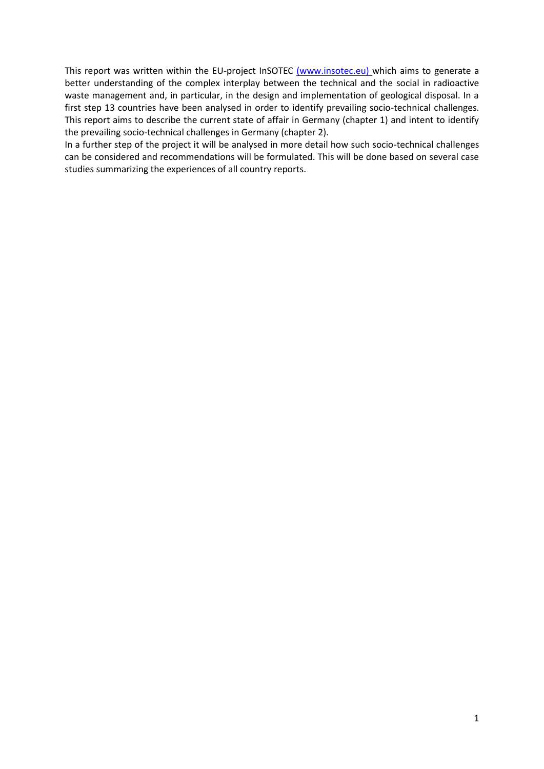This report was written within the EU-project InSOTEC (www.insotec.eu) which aims to generate a better understanding of the complex interplay between the technical and the social in radioactive waste management and, in particular, in the design and implementation of geological disposal. In a first step 13 countries have been analysed in order to identify prevailing socio-technical challenges. This report aims to describe the current state of affair in Germany (chapter 1) and intent to identify the prevailing socio-technical challenges in Germany (chapter 2).

In a further step of the project it will be analysed in more detail how such socio-technical challenges can be considered and recommendations will be formulated. This will be done based on several case studies summarizing the experiences of all country reports.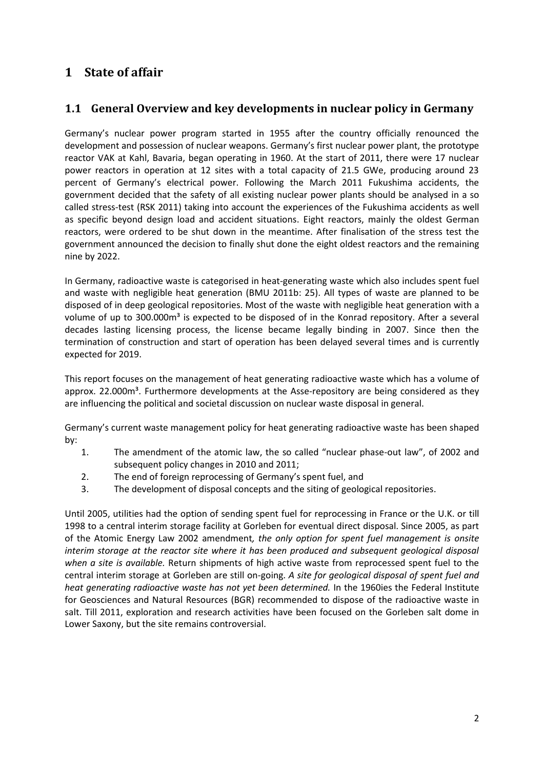## <span id="page-3-0"></span>**1 State of affair**

#### <span id="page-3-1"></span>**1.1 General Overview and key developments in nuclear policy in Germany**

Germany's nuclear power program started in 1955 after the country officially renounced the development and possession of nuclear weapons. Germany's first nuclear power plant, the prototype reactor VAK at Kahl, Bavaria, began operating in 1960. At the start of 2011, there were 17 nuclear power reactors in operation at 12 sites with a total capacity of 21.5 GWe, producing around 23 percent of Germany's electrical power. Following the March 2011 Fukushima accidents, the government decided that the safety of all existing nuclear power plants should be analysed in a so called stress-test (RSK 2011) taking into account the experiences of the Fukushima accidents as well as specific beyond design load and accident situations. Eight reactors, mainly the oldest German reactors, were ordered to be shut down in the meantime. After finalisation of the stress test the government announced the decision to finally shut done the eight oldest reactors and the remaining nine by 2022.

In Germany, radioactive waste is categorised in heat-generating waste which also includes spent fuel and waste with negligible heat generation (BMU 2011b: 25). All types of waste are planned to be disposed of in deep geological repositories. Most of the waste with negligible heat generation with a volume of up to 300.000m<sup>3</sup> is expected to be disposed of in the Konrad repository. After a several decades lasting licensing process, the license became legally binding in 2007. Since then the termination of construction and start of operation has been delayed several times and is currently expected for 2019.

This report focuses on the management of heat generating radioactive waste which has a volume of approx. 22.000m<sup>3</sup>. Furthermore developments at the Asse-repository are being considered as they are influencing the political and societal discussion on nuclear waste disposal in general.

Germany's current waste management policy for heat generating radioactive waste has been shaped by:

- 1. The amendment of the atomic law, the so called "nuclear phase-out law", of 2002 and subsequent policy changes in 2010 and 2011;
- 2. The end of foreign reprocessing of Germany's spent fuel, and
- 3. The development of disposal concepts and the siting of geological repositories.

Until 2005, utilities had the option of sending spent fuel for reprocessing in France or the U.K. or till 1998 to a central interim storage facility at Gorleben for eventual direct disposal. Since 2005, as part of the Atomic Energy Law 2002 amendment*, the only option for spent fuel management is onsite interim storage at the reactor site where it has been produced and subsequent geological disposal when a site is available.* Return shipments of high active waste from reprocessed spent fuel to the central interim storage at Gorleben are still on-going. *A site for geological disposal of spent fuel and heat generating radioactive waste has not yet been determined.* In the 1960ies the Federal Institute for Geosciences and Natural Resources (BGR) recommended to dispose of the radioactive waste in salt. Till 2011, exploration and research activities have been focused on the Gorleben salt dome in Lower Saxony, but the site remains controversial.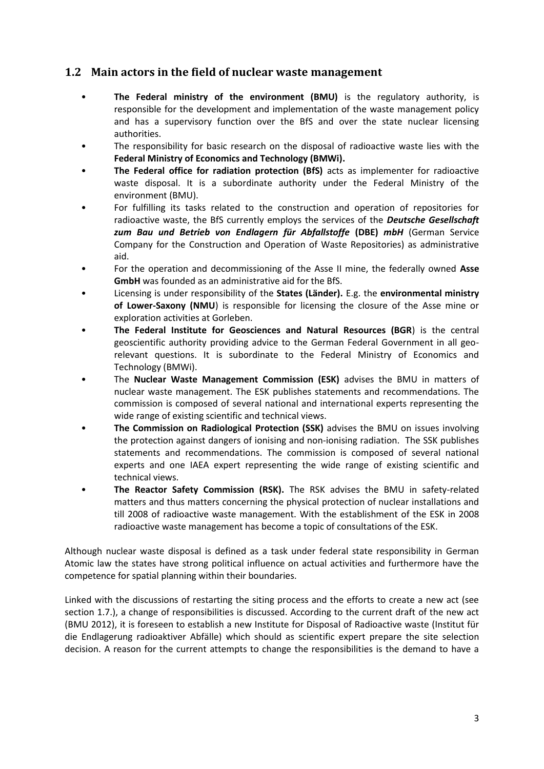#### <span id="page-4-0"></span>**1.2 Main actors in the field of nuclear waste management**

- **The Federal ministry of the environment (BMU)** is the regulatory authority, is responsible for the development and implementation of the waste management policy and has a supervisory function over the BfS and over the state nuclear licensing authorities.
- The responsibility for basic research on the disposal of radioactive waste lies with the **Federal Ministry of Economics and Technology (BMWi).**
- **The Federal office for radiation protection (BfS)** acts as implementer for radioactive waste disposal. It is a subordinate authority under the Federal Ministry of the environment (BMU).
- For fulfilling its tasks related to the construction and operation of repositories for radioactive waste, the BfS currently employs the services of the *Deutsche Gesellschaft zum Bau und Betrieb von Endlagern für Abfallstoffe* **(DBE)** *mbH* (German Service Company for the Construction and Operation of Waste Repositories) as administrative aid.
- For the operation and decommissioning of the Asse II mine, the federally owned **Asse GmbH** was founded as an administrative aid for the BfS.
- Licensing is under responsibility of the **States (Länder).** E.g. the **environmental ministry of Lower-Saxony (NMU**) is responsible for licensing the closure of the Asse mine or exploration activities at Gorleben.
- **The Federal Institute for Geosciences and Natural Resources (BGR**) is the central geoscientific authority providing advice to the German Federal Government in all georelevant questions. It is subordinate to the Federal Ministry of Economics and Technology (BMWi).
- The **Nuclear Waste Management Commission (ESK)** advises the BMU in matters of nuclear waste management. The ESK publishes statements and recommendations. The commission is composed of several national and international experts representing the wide range of existing scientific and technical views.
- **The Commission on Radiological Protection (SSK)** advises the BMU on issues involving the protection against dangers of ionising and non-ionising radiation. The SSK publishes statements and recommendations. The commission is composed of several national experts and one IAEA expert representing the wide range of existing scientific and technical views.
- **The Reactor Safety Commission (RSK).** The RSK advises the BMU in safety-related matters and thus matters concerning the physical protection of nuclear installations and till 2008 of radioactive waste management. With the establishment of the ESK in 2008 radioactive waste management has become a topic of consultations of the ESK.

Although nuclear waste disposal is defined as a task under federal state responsibility in German Atomic law the states have strong political influence on actual activities and furthermore have the competence for spatial planning within their boundaries.

Linked with the discussions of restarting the siting process and the efforts to create a new act (see section 1.7.), a change of responsibilities is discussed. According to the current draft of the new act (BMU 2012), it is foreseen to establish a new Institute for Disposal of Radioactive waste (Institut für die Endlagerung radioaktiver Abfälle) which should as scientific expert prepare the site selection decision. A reason for the current attempts to change the responsibilities is the demand to have a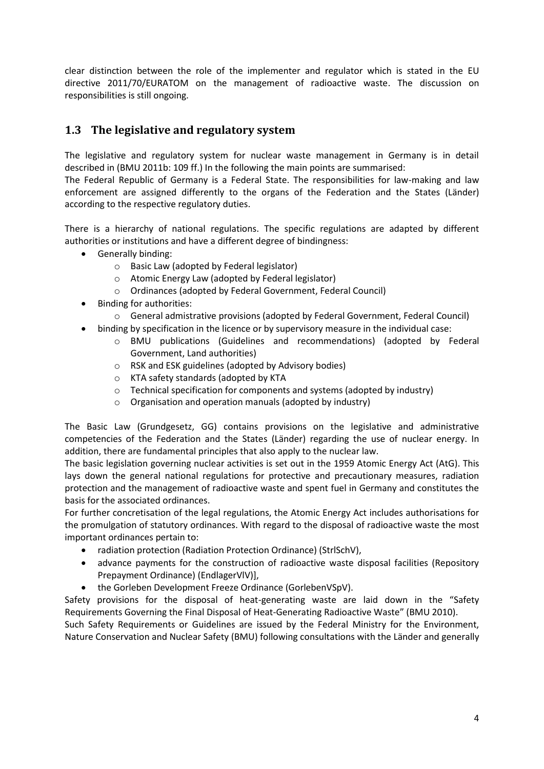clear distinction between the role of the implementer and regulator which is stated in the EU directive 2011/70/EURATOM on the management of radioactive waste. The discussion on responsibilities is still ongoing.

## <span id="page-5-0"></span>**1.3 The legislative and regulatory system**

The legislative and regulatory system for nuclear waste management in Germany is in detail described in (BMU 2011b: 109 ff.) In the following the main points are summarised:

The Federal Republic of Germany is a Federal State. The responsibilities for law-making and law enforcement are assigned differently to the organs of the Federation and the States (Länder) according to the respective regulatory duties.

There is a hierarchy of national regulations. The specific regulations are adapted by different authorities or institutions and have a different degree of bindingness:

- Generally binding:
	- o Basic Law (adopted by Federal legislator)
	- o Atomic Energy Law (adopted by Federal legislator)
	- o Ordinances (adopted by Federal Government, Federal Council)
- Binding for authorities:
	- o General admistrative provisions (adopted by Federal Government, Federal Council)
- binding by specification in the licence or by supervisory measure in the individual case:
	- o BMU publications (Guidelines and recommendations) (adopted by Federal Government, Land authorities)
	- o RSK and ESK guidelines (adopted by Advisory bodies)
	- o KTA safety standards (adopted by KTA
	- o Technical specification for components and systems (adopted by industry)
	- o Organisation and operation manuals (adopted by industry)

The Basic Law (Grundgesetz, GG) contains provisions on the legislative and administrative competencies of the Federation and the States (Länder) regarding the use of nuclear energy. In addition, there are fundamental principles that also apply to the nuclear law.

The basic legislation governing nuclear activities is set out in the 1959 Atomic Energy Act (AtG). This lays down the general national regulations for protective and precautionary measures, radiation protection and the management of radioactive waste and spent fuel in Germany and constitutes the basis for the associated ordinances.

For further concretisation of the legal regulations, the Atomic Energy Act includes authorisations for the promulgation of statutory ordinances. With regard to the disposal of radioactive waste the most important ordinances pertain to:

- radiation protection (Radiation Protection Ordinance) (StrlSchV),
- advance payments for the construction of radioactive waste disposal facilities (Repository Prepayment Ordinance) (EndlagerVlV)],
- the Gorleben Development Freeze Ordinance (GorlebenVSpV).

Safety provisions for the disposal of heat-generating waste are laid down in the "Safety Requirements Governing the Final Disposal of Heat-Generating Radioactive Waste" (BMU 2010).

Such Safety Requirements or Guidelines are issued by the Federal Ministry for the Environment, Nature Conservation and Nuclear Safety (BMU) following consultations with the Länder and generally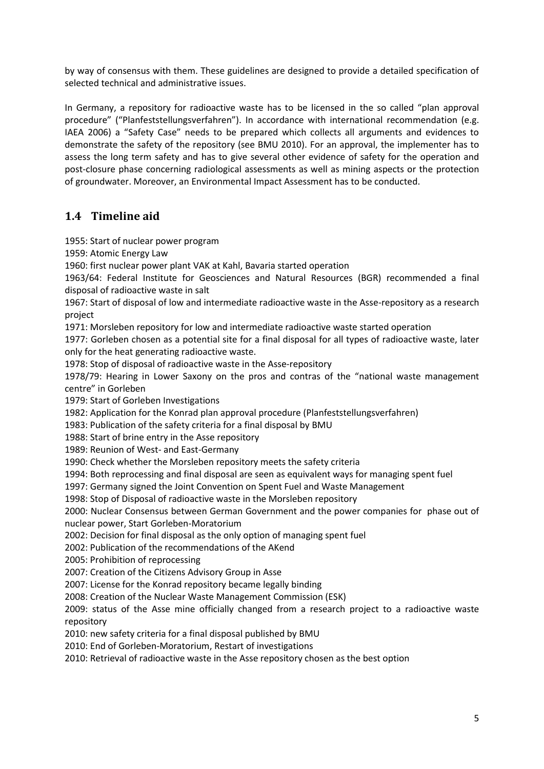by way of consensus with them. These guidelines are designed to provide a detailed specification of selected technical and administrative issues.

In Germany, a repository for radioactive waste has to be licensed in the so called "plan approval procedure" ("Planfeststellungsverfahren"). In accordance with international recommendation (e.g. IAEA 2006) a "Safety Case" needs to be prepared which collects all arguments and evidences to demonstrate the safety of the repository (see BMU 2010). For an approval, the implementer has to assess the long term safety and has to give several other evidence of safety for the operation and post-closure phase concerning radiological assessments as well as mining aspects or the protection of groundwater. Moreover, an Environmental Impact Assessment has to be conducted.

## <span id="page-6-0"></span>**1.4 Timeline aid**

1955: Start of nuclear power program

1959: Atomic Energy Law

1960: first nuclear power plant VAK at Kahl, Bavaria started operation

1963/64: Federal Institute for Geosciences and Natural Resources (BGR) recommended a final disposal of radioactive waste in salt

1967: Start of disposal of low and intermediate radioactive waste in the Asse-repository as a research project

1971: Morsleben repository for low and intermediate radioactive waste started operation

1977: Gorleben chosen as a potential site for a final disposal for all types of radioactive waste, later only for the heat generating radioactive waste.

1978: Stop of disposal of radioactive waste in the Asse-repository

1978/79: Hearing in Lower Saxony on the pros and contras of the "national waste management centre" in Gorleben

1979: Start of Gorleben Investigations

1982: Application for the Konrad plan approval procedure (Planfeststellungsverfahren)

1983: Publication of the safety criteria for a final disposal by BMU

1988: Start of brine entry in the Asse repository

1989: Reunion of West- and East-Germany

1990: Check whether the Morsleben repository meets the safety criteria

1994: Both reprocessing and final disposal are seen as equivalent ways for managing spent fuel

1997: Germany signed the Joint Convention on Spent Fuel and Waste Management

1998: Stop of Disposal of radioactive waste in the Morsleben repository

2000: Nuclear Consensus between German Government and the power companies for phase out of nuclear power, Start Gorleben-Moratorium

2002: Decision for final disposal as the only option of managing spent fuel

2002: Publication of the recommendations of the AKend

2005: Prohibition of reprocessing

2007: Creation of the Citizens Advisory Group in Asse

2007: License for the Konrad repository became legally binding

2008: Creation of the Nuclear Waste Management Commission (ESK)

2009: status of the Asse mine officially changed from a research project to a radioactive waste repository

2010: new safety criteria for a final disposal published by BMU

2010: End of Gorleben-Moratorium, Restart of investigations

2010: Retrieval of radioactive waste in the Asse repository chosen as the best option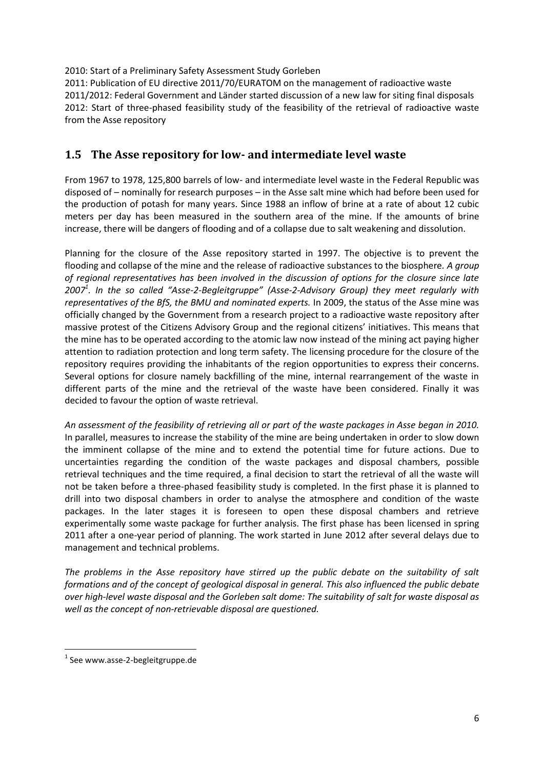2010: Start of a Preliminary Safety Assessment Study Gorleben

2011: Publication of EU directive 2011/70/EURATOM on the management of radioactive waste 2011/2012: Federal Government and Länder started discussion of a new law for siting final disposals 2012: Start of three-phased feasibility study of the feasibility of the retrieval of radioactive waste from the Asse repository

#### <span id="page-7-0"></span>**1.5 The Asse repository for low- and intermediate level waste**

From 1967 to 1978, 125,800 barrels of low- and intermediate level waste in the Federal Republic was disposed of – nominally for research purposes – in the Asse salt mine which had before been used for the production of potash for many years. Since 1988 an inflow of brine at a rate of about 12 cubic meters per day has been measured in the southern area of the mine. If the amounts of brine increase, there will be dangers of flooding and of a collapse due to salt weakening and dissolution.

Planning for the closure of the Asse repository started in 1997. The objective is to prevent the flooding and collapse of the mine and the release of radioactive substances to the biosphere*. A group of regional representatives has been involved in the discussion of options for the closure since late 2007<sup>1</sup> . In the so called "Asse-2-Begleitgruppe" (Asse-2-Advisory Group) they meet regularly with representatives of the BfS, the BMU and nominated experts.* In 2009, the status of the Asse mine was officially changed by the Government from a research project to a radioactive waste repository after massive protest of the Citizens Advisory Group and the regional citizens' initiatives. This means that the mine has to be operated according to the atomic law now instead of the mining act paying higher attention to radiation protection and long term safety. The licensing procedure for the closure of the repository requires providing the inhabitants of the region opportunities to express their concerns. Several options for closure namely backfilling of the mine, internal rearrangement of the waste in different parts of the mine and the retrieval of the waste have been considered. Finally it was decided to favour the option of waste retrieval.

*An assessment of the feasibility of retrieving all or part of the waste packages in Asse began in 2010.* In parallel, measures to increase the stability of the mine are being undertaken in order to slow down the imminent collapse of the mine and to extend the potential time for future actions. Due to uncertainties regarding the condition of the waste packages and disposal chambers, possible retrieval techniques and the time required, a final decision to start the retrieval of all the waste will not be taken before a three-phased feasibility study is completed. In the first phase it is planned to drill into two disposal chambers in order to analyse the atmosphere and condition of the waste packages. In the later stages it is foreseen to open these disposal chambers and retrieve experimentally some waste package for further analysis. The first phase has been licensed in spring 2011 after a one-year period of planning. The work started in June 2012 after several delays due to management and technical problems.

*The problems in the Asse repository have stirred up the public debate on the suitability of salt formations and of the concept of geological disposal in general. This also influenced the public debate over high-level waste disposal and the Gorleben salt dome: The suitability of salt for waste disposal as well as the concept of non-retrievable disposal are questioned.* 

 $\overline{a}$ 

<sup>&</sup>lt;sup>1</sup> See www.asse-2-begleitgruppe.de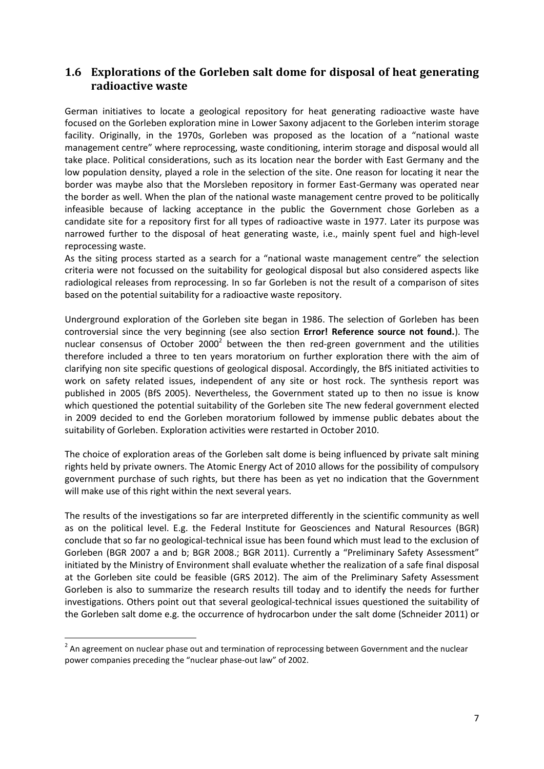#### <span id="page-8-0"></span>**1.6 Explorations of the Gorleben salt dome for disposal of heat generating radioactive waste**

German initiatives to locate a geological repository for heat generating radioactive waste have focused on the Gorleben exploration mine in Lower Saxony adjacent to the Gorleben interim storage facility. Originally, in the 1970s, Gorleben was proposed as the location of a "national waste management centre" where reprocessing, waste conditioning, interim storage and disposal would all take place. Political considerations, such as its location near the border with East Germany and the low population density, played a role in the selection of the site. One reason for locating it near the border was maybe also that the Morsleben repository in former East-Germany was operated near the border as well. When the plan of the national waste management centre proved to be politically infeasible because of lacking acceptance in the public the Government chose Gorleben as a candidate site for a repository first for all types of radioactive waste in 1977. Later its purpose was narrowed further to the disposal of heat generating waste, i.e., mainly spent fuel and high-level reprocessing waste.

As the siting process started as a search for a "national waste management centre" the selection criteria were not focussed on the suitability for geological disposal but also considered aspects like radiological releases from reprocessing. In so far Gorleben is not the result of a comparison of sites based on the potential suitability for a radioactive waste repository.

Underground exploration of the Gorleben site began in 1986. The selection of Gorleben has been controversial since the very beginning (see also section **Error! Reference source not found.**). The nuclear consensus of October 2000<sup>2</sup> between the then red-green government and the utilities therefore included a three to ten years moratorium on further exploration there with the aim of clarifying non site specific questions of geological disposal. Accordingly, the BfS initiated activities to work on safety related issues, independent of any site or host rock. The synthesis report was published in 2005 (BfS 2005). Nevertheless, the Government stated up to then no issue is know which questioned the potential suitability of the Gorleben site The new federal government elected in 2009 decided to end the Gorleben moratorium followed by immense public debates about the suitability of Gorleben. Exploration activities were restarted in October 2010.

The choice of exploration areas of the Gorleben salt dome is being influenced by private salt mining rights held by private owners. The Atomic Energy Act of 2010 allows for the possibility of compulsory government purchase of such rights, but there has been as yet no indication that the Government will make use of this right within the next several years.

The results of the investigations so far are interpreted differently in the scientific community as well as on the political level. E.g. the Federal Institute for Geosciences and Natural Resources (BGR) conclude that so far no geological-technical issue has been found which must lead to the exclusion of Gorleben (BGR 2007 a and b; BGR 2008.; BGR 2011). Currently a "Preliminary Safety Assessment" initiated by the Ministry of Environment shall evaluate whether the realization of a safe final disposal at the Gorleben site could be feasible (GRS 2012). The aim of the Preliminary Safety Assessment Gorleben is also to summarize the research results till today and to identify the needs for further investigations. Others point out that several geological-technical issues questioned the suitability of the Gorleben salt dome e.g. the occurrence of hydrocarbon under the salt dome (Schneider 2011) or

 $\overline{\phantom{a}}$ 

 $2$  An agreement on nuclear phase out and termination of reprocessing between Government and the nuclear power companies preceding the "nuclear phase-out law" of 2002.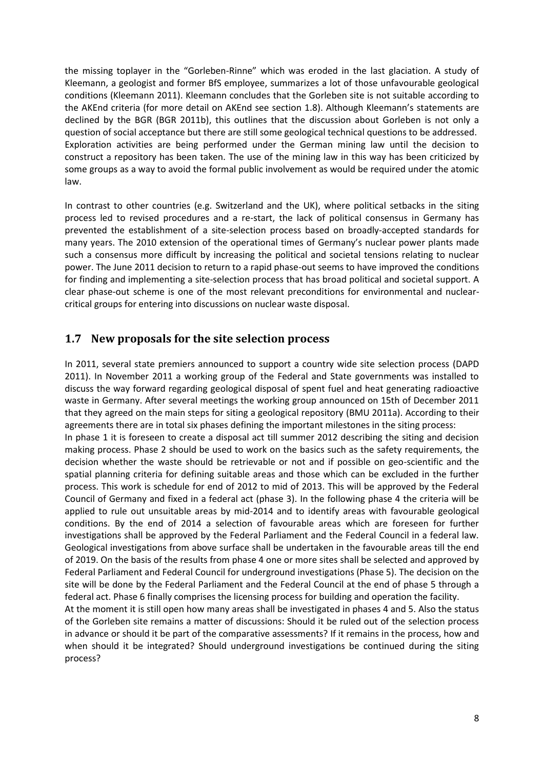the missing toplayer in the "Gorleben-Rinne" which was eroded in the last glaciation. A study of Kleemann, a geologist and former BfS employee, summarizes a lot of those unfavourable geological conditions (Kleemann 2011). Kleemann concludes that the Gorleben site is not suitable according to the AKEnd criteria (for more detail on AKEnd see section [1.8\)](#page-10-0). Although Kleemann's statements are declined by the BGR (BGR 2011b), this outlines that the discussion about Gorleben is not only a question of social acceptance but there are still some geological technical questions to be addressed. Exploration activities are being performed under the German mining law until the decision to construct a repository has been taken. The use of the mining law in this way has been criticized by some groups as a way to avoid the formal public involvement as would be required under the atomic law.

In contrast to other countries (e.g. Switzerland and the UK), where political setbacks in the siting process led to revised procedures and a re-start, the lack of political consensus in Germany has prevented the establishment of a site-selection process based on broadly-accepted standards for many years. The 2010 extension of the operational times of Germany's nuclear power plants made such a consensus more difficult by increasing the political and societal tensions relating to nuclear power. The June 2011 decision to return to a rapid phase-out seems to have improved the conditions for finding and implementing a site-selection process that has broad political and societal support. A clear phase-out scheme is one of the most relevant preconditions for environmental and nuclearcritical groups for entering into discussions on nuclear waste disposal.

#### <span id="page-9-0"></span>**1.7 New proposals for the site selection process**

In 2011, several state premiers announced to support a country wide site selection process (DAPD 2011). In November 2011 a working group of the Federal and State governments was installed to discuss the way forward regarding geological disposal of spent fuel and heat generating radioactive waste in Germany. After several meetings the working group announced on 15th of December 2011 that they agreed on the main steps for siting a geological repository (BMU 2011a). According to their agreements there are in total six phases defining the important milestones in the siting process: In phase 1 it is foreseen to create a disposal act till summer 2012 describing the siting and decision making process. Phase 2 should be used to work on the basics such as the safety requirements, the decision whether the waste should be retrievable or not and if possible on geo-scientific and the spatial planning criteria for defining suitable areas and those which can be excluded in the further process. This work is schedule for end of 2012 to mid of 2013. This will be approved by the Federal Council of Germany and fixed in a federal act (phase 3). In the following phase 4 the criteria will be applied to rule out unsuitable areas by mid-2014 and to identify areas with favourable geological conditions. By the end of 2014 a selection of favourable areas which are foreseen for further investigations shall be approved by the Federal Parliament and the Federal Council in a federal law. Geological investigations from above surface shall be undertaken in the favourable areas till the end of 2019. On the basis of the results from phase 4 one or more sites shall be selected and approved by Federal Parliament and Federal Council for underground investigations (Phase 5). The decision on the site will be done by the Federal Parliament and the Federal Council at the end of phase 5 through a federal act. Phase 6 finally comprises the licensing process for building and operation the facility.

At the moment it is still open how many areas shall be investigated in phases 4 and 5. Also the status of the Gorleben site remains a matter of discussions: Should it be ruled out of the selection process in advance or should it be part of the comparative assessments? If it remains in the process, how and when should it be integrated? Should underground investigations be continued during the siting process?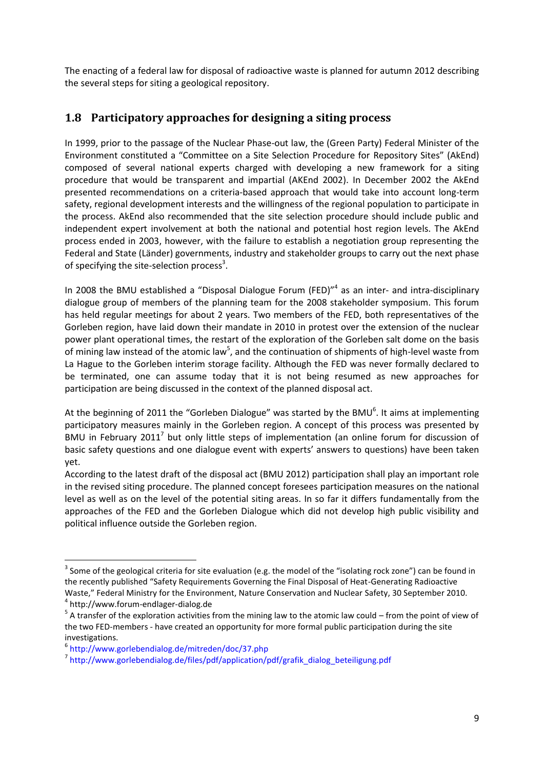The enacting of a federal law for disposal of radioactive waste is planned for autumn 2012 describing the several steps for siting a geological repository.

#### <span id="page-10-0"></span>**1.8 Participatory approaches for designing a siting process**

In 1999, prior to the passage of the Nuclear Phase-out law, the (Green Party) Federal Minister of the Environment constituted a "Committee on a Site Selection Procedure for Repository Sites" (AkEnd) composed of several national experts charged with developing a new framework for a siting procedure that would be transparent and impartial (AKEnd 2002). In December 2002 the AkEnd presented recommendations on a criteria-based approach that would take into account long-term safety, regional development interests and the willingness of the regional population to participate in the process. AkEnd also recommended that the site selection procedure should include public and independent expert involvement at both the national and potential host region levels. The AkEnd process ended in 2003, however, with the failure to establish a negotiation group representing the Federal and State (Länder) governments, industry and stakeholder groups to carry out the next phase of specifying the site-selection process<sup>3</sup>.

In 2008 the BMU established a "Disposal Dialogue Forum (FED)"<sup>4</sup> as an inter- and intra-disciplinary dialogue group of members of the planning team for the 2008 stakeholder symposium. This forum has held regular meetings for about 2 years. Two members of the FED, both representatives of the Gorleben region, have laid down their mandate in 2010 in protest over the extension of the nuclear power plant operational times, the restart of the exploration of the Gorleben salt dome on the basis of mining law instead of the atomic law<sup>5</sup>, and the continuation of shipments of high-level waste from La Hague to the Gorleben interim storage facility. Although the FED was never formally declared to be terminated, one can assume today that it is not being resumed as new approaches for participation are being discussed in the context of the planned disposal act.

At the beginning of 2011 the "Gorleben Dialogue" was started by the BMU<sup>6</sup>. It aims at implementing participatory measures mainly in the Gorleben region. A concept of this process was presented by BMU in February 2011<sup>7</sup> but only little steps of implementation (an online forum for discussion of basic safety questions and one dialogue event with experts' answers to questions) have been taken yet.

According to the latest draft of the disposal act (BMU 2012) participation shall play an important role in the revised siting procedure. The planned concept foresees participation measures on the national level as well as on the level of the potential siting areas. In so far it differs fundamentally from the approaches of the FED and the Gorleben Dialogue which did not develop high public visibility and political influence outside the Gorleben region.

 $\overline{\phantom{a}}$ 

 $^3$  Some of the geological criteria for site evaluation (e.g. the model of the "isolating rock zone") can be found in the recently published "Safety Requirements Governing the Final Disposal of Heat-Generating Radioactive Waste," Federal Ministry for the Environment, Nature Conservation and Nuclear Safety, 30 September 2010. 4 http://www.forum-endlager-dialog.de

 $5$  A transfer of the exploration activities from the mining law to the atomic law could – from the point of view of the two FED-members - have created an opportunity for more formal public participation during the site investigations.

<sup>6</sup> http://www.gorlebendialog.de/mitreden/doc/37.php

<sup>&</sup>lt;sup>7</sup> http://www.gorlebendialog.de/files/pdf/application/pdf/grafik\_dialog\_beteiligung.pdf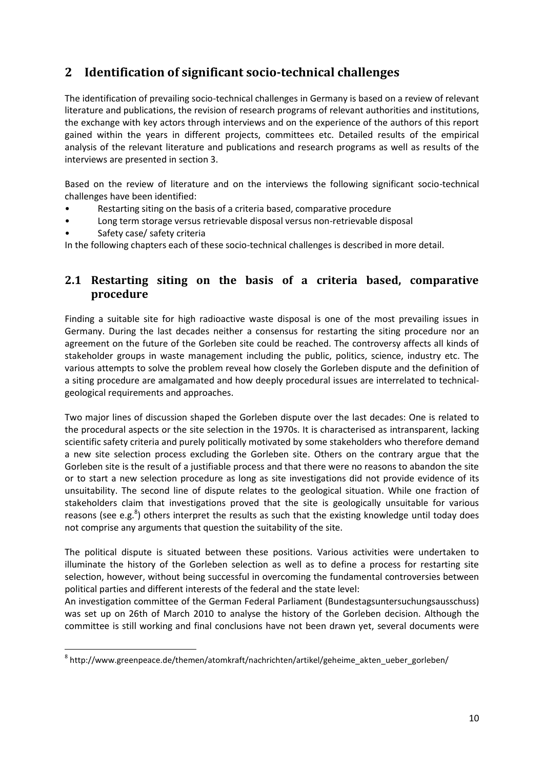## <span id="page-11-0"></span>**2 Identification of significant socio-technical challenges**

The identification of prevailing socio-technical challenges in Germany is based on a review of relevant literature and publications, the revision of research programs of relevant authorities and institutions, the exchange with key actors through interviews and on the experience of the authors of this report gained within the years in different projects, committees etc. Detailed results of the empirical analysis of the relevant literature and publications and research programs as well as results of the interviews are presented in section 3.

Based on the review of literature and on the interviews the following significant socio-technical challenges have been identified:

- Restarting siting on the basis of a criteria based, comparative procedure
- Long term storage versus retrievable disposal versus non-retrievable disposal
- Safety case/ safety criteria

In the following chapters each of these socio-technical challenges is described in more detail.

#### <span id="page-11-1"></span>**2.1 Restarting siting on the basis of a criteria based, comparative procedure**

Finding a suitable site for high radioactive waste disposal is one of the most prevailing issues in Germany. During the last decades neither a consensus for restarting the siting procedure nor an agreement on the future of the Gorleben site could be reached. The controversy affects all kinds of stakeholder groups in waste management including the public, politics, science, industry etc. The various attempts to solve the problem reveal how closely the Gorleben dispute and the definition of a siting procedure are amalgamated and how deeply procedural issues are interrelated to technicalgeological requirements and approaches.

Two major lines of discussion shaped the Gorleben dispute over the last decades: One is related to the procedural aspects or the site selection in the 1970s. It is characterised as intransparent, lacking scientific safety criteria and purely politically motivated by some stakeholders who therefore demand a new site selection process excluding the Gorleben site. Others on the contrary argue that the Gorleben site is the result of a justifiable process and that there were no reasons to abandon the site or to start a new selection procedure as long as site investigations did not provide evidence of its unsuitability. The second line of dispute relates to the geological situation. While one fraction of stakeholders claim that investigations proved that the site is geologically unsuitable for various reasons (see e.g.<sup>8</sup>) others interpret the results as such that the existing knowledge until today does not comprise any arguments that question the suitability of the site.

The political dispute is situated between these positions. Various activities were undertaken to illuminate the history of the Gorleben selection as well as to define a process for restarting site selection, however, without being successful in overcoming the fundamental controversies between political parties and different interests of the federal and the state level:

An investigation committee of the German Federal Parliament (Bundestagsuntersuchungsausschuss) was set up on 26th of March 2010 to analyse the history of the Gorleben decision. Although the committee is still working and final conclusions have not been drawn yet, several documents were

 8 http://www.greenpeace.de/themen/atomkraft/nachrichten/artikel/geheime\_akten\_ueber\_gorleben/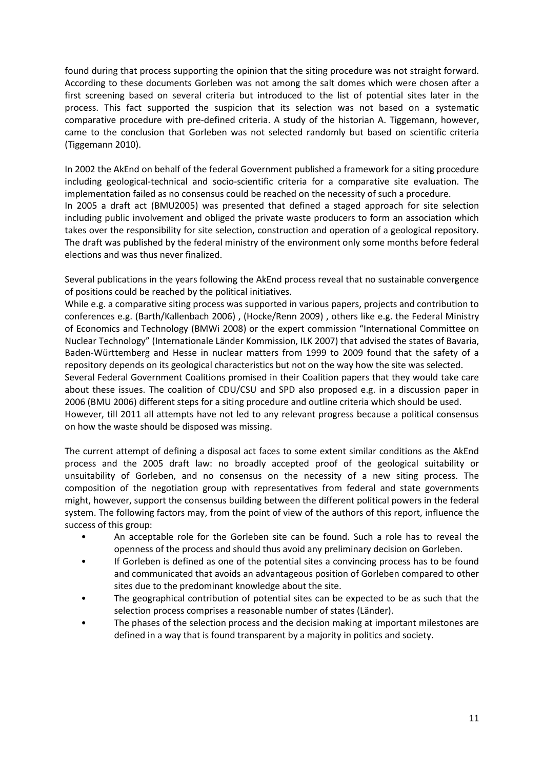found during that process supporting the opinion that the siting procedure was not straight forward. According to these documents Gorleben was not among the salt domes which were chosen after a first screening based on several criteria but introduced to the list of potential sites later in the process. This fact supported the suspicion that its selection was not based on a systematic comparative procedure with pre-defined criteria. A study of the historian A. Tiggemann, however, came to the conclusion that Gorleben was not selected randomly but based on scientific criteria (Tiggemann 2010).

In 2002 the AkEnd on behalf of the federal Government published a framework for a siting procedure including geological-technical and socio-scientific criteria for a comparative site evaluation. The implementation failed as no consensus could be reached on the necessity of such a procedure.

In 2005 a draft act (BMU2005) was presented that defined a staged approach for site selection including public involvement and obliged the private waste producers to form an association which takes over the responsibility for site selection, construction and operation of a geological repository. The draft was published by the federal ministry of the environment only some months before federal elections and was thus never finalized.

Several publications in the years following the AkEnd process reveal that no sustainable convergence of positions could be reached by the political initiatives.

While e.g. a comparative siting process was supported in various papers, projects and contribution to conferences e.g. (Barth/Kallenbach 2006) , (Hocke/Renn 2009) , others like e.g. the Federal Ministry of Economics and Technology (BMWi 2008) or the expert commission "International Committee on Nuclear Technology" (Internationale Länder Kommission, ILK 2007) that advised the states of Bavaria, Baden-Württemberg and Hesse in nuclear matters from 1999 to 2009 found that the safety of a repository depends on its geological characteristics but not on the way how the site was selected. Several Federal Government Coalitions promised in their Coalition papers that they would take care about these issues. The coalition of CDU/CSU and SPD also proposed e.g. in a discussion paper in 2006 (BMU 2006) different steps for a siting procedure and outline criteria which should be used. However, till 2011 all attempts have not led to any relevant progress because a political consensus on how the waste should be disposed was missing.

The current attempt of defining a disposal act faces to some extent similar conditions as the AkEnd process and the 2005 draft law: no broadly accepted proof of the geological suitability or unsuitability of Gorleben, and no consensus on the necessity of a new siting process. The composition of the negotiation group with representatives from federal and state governments might, however, support the consensus building between the different political powers in the federal system. The following factors may, from the point of view of the authors of this report, influence the success of this group:

- An acceptable role for the Gorleben site can be found. Such a role has to reveal the openness of the process and should thus avoid any preliminary decision on Gorleben.
- If Gorleben is defined as one of the potential sites a convincing process has to be found and communicated that avoids an advantageous position of Gorleben compared to other sites due to the predominant knowledge about the site.
- The geographical contribution of potential sites can be expected to be as such that the selection process comprises a reasonable number of states (Länder).
- The phases of the selection process and the decision making at important milestones are defined in a way that is found transparent by a majority in politics and society.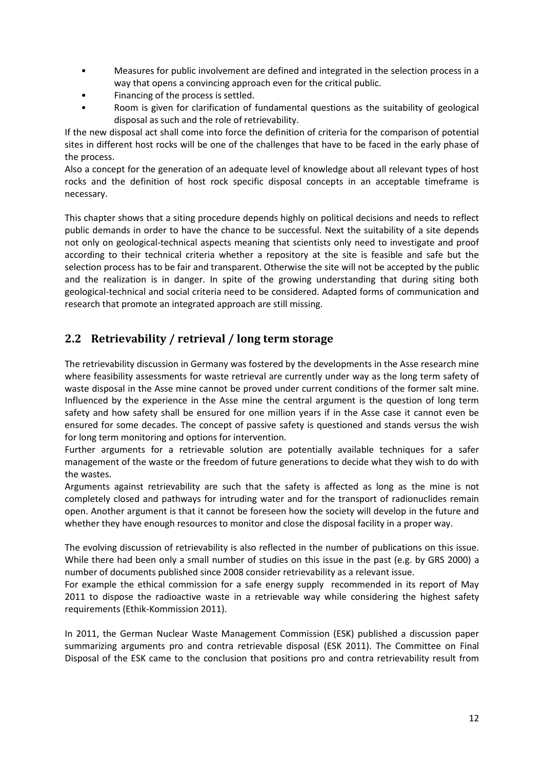- Measures for public involvement are defined and integrated in the selection process in a way that opens a convincing approach even for the critical public.
- Financing of the process is settled.
- Room is given for clarification of fundamental questions as the suitability of geological disposal as such and the role of retrievability.

If the new disposal act shall come into force the definition of criteria for the comparison of potential sites in different host rocks will be one of the challenges that have to be faced in the early phase of the process.

Also a concept for the generation of an adequate level of knowledge about all relevant types of host rocks and the definition of host rock specific disposal concepts in an acceptable timeframe is necessary.

This chapter shows that a siting procedure depends highly on political decisions and needs to reflect public demands in order to have the chance to be successful. Next the suitability of a site depends not only on geological-technical aspects meaning that scientists only need to investigate and proof according to their technical criteria whether a repository at the site is feasible and safe but the selection process has to be fair and transparent. Otherwise the site will not be accepted by the public and the realization is in danger. In spite of the growing understanding that during siting both geological-technical and social criteria need to be considered. Adapted forms of communication and research that promote an integrated approach are still missing.

## <span id="page-13-0"></span>**2.2 Retrievability / retrieval / long term storage**

The retrievability discussion in Germany was fostered by the developments in the Asse research mine where feasibility assessments for waste retrieval are currently under way as the long term safety of waste disposal in the Asse mine cannot be proved under current conditions of the former salt mine. Influenced by the experience in the Asse mine the central argument is the question of long term safety and how safety shall be ensured for one million years if in the Asse case it cannot even be ensured for some decades. The concept of passive safety is questioned and stands versus the wish for long term monitoring and options for intervention.

Further arguments for a retrievable solution are potentially available techniques for a safer management of the waste or the freedom of future generations to decide what they wish to do with the wastes.

Arguments against retrievability are such that the safety is affected as long as the mine is not completely closed and pathways for intruding water and for the transport of radionuclides remain open. Another argument is that it cannot be foreseen how the society will develop in the future and whether they have enough resources to monitor and close the disposal facility in a proper way.

The evolving discussion of retrievability is also reflected in the number of publications on this issue. While there had been only a small number of studies on this issue in the past (e.g. by GRS 2000) a number of documents published since 2008 consider retrievability as a relevant issue.

For example the ethical commission for a safe energy supply recommended in its report of May 2011 to dispose the radioactive waste in a retrievable way while considering the highest safety requirements (Ethik-Kommission 2011).

In 2011, the German Nuclear Waste Management Commission (ESK) published a discussion paper summarizing arguments pro and contra retrievable disposal (ESK 2011). The Committee on Final Disposal of the ESK came to the conclusion that positions pro and contra retrievability result from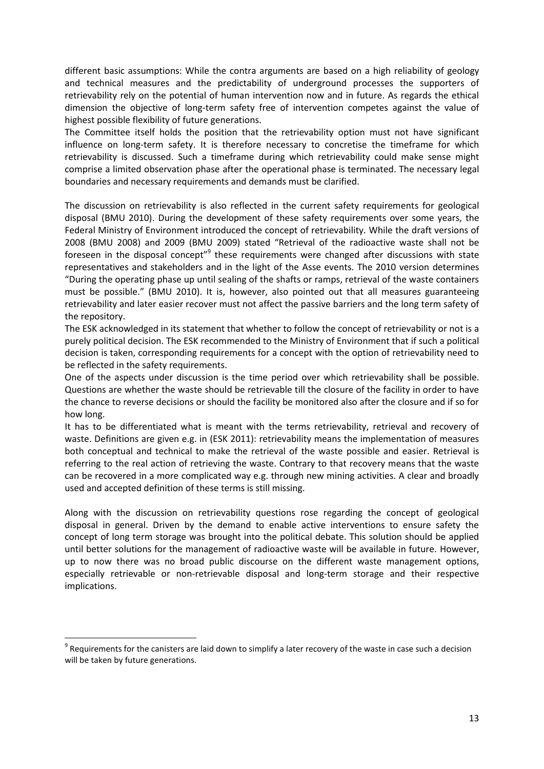different basic assumptions: While the contra arguments are based on a high reliability of geology and technical measures and the predictability of underground processes the supporters of retrievability rely on the potential of human intervention now and in future. As regards the ethical dimension the objective of long-term safety free of intervention competes against the value of highest possible flexibility of future generations.

The Committee itself holds the position that the retrievability option must not have significant influence on long-term safety. It is therefore necessary to concretise the timeframe for which retrievability is discussed. Such a timeframe during which retrievability could make sense might comprise a limited observation phase after the operational phase is terminated. The necessary legal boundaries and necessary requirements and demands must be clarified.

The discussion on retrievability is also reflected in the current safety requirements for geological disposal (BMU 2010). During the development of these safety requirements over some years, the Federal Ministry of Environment introduced the concept of retrievability. While the draft versions of 2008 (BMU 2008) and 2009 (BMU 2009) stated "Retrieval of the radioactive waste shall not be foreseen in the disposal concept"<sup>9</sup> these requirements were changed after discussions with state representatives and stakeholders and in the light of the Asse events. The 2010 version determines "During the operating phase up until sealing of the shafts or ramps, retrieval of the waste containers must be possible." (BMU 2010). It is, however, also pointed out that all measures guaranteeing retrievability and later easier recover must not affect the passive barriers and the long term safety of the repository.

The ESK acknowledged in its statement that whether to follow the concept of retrievability or not is a purely political decision. The ESK recommended to the Ministry of Environment that if such a political decision is taken, corresponding requirements for a concept with the option of retrievability need to be reflected in the safety requirements.

One of the aspects under discussion is the time period over which retrievability shall be possible. Questions are whether the waste should be retrievable till the closure of the facility in order to have the chance to reverse decisions or should the facility be monitored also after the closure and if so for how long.

It has to be differentiated what is meant with the terms retrievability, retrieval and recovery of waste. Definitions are given e.g. in (ESK 2011): retrievability means the implementation of measures both conceptual and technical to make the retrieval of the waste possible and easier. Retrieval is referring to the real action of retrieving the waste. Contrary to that recovery means that the waste can be recovered in a more complicated way e.g. through new mining activities. A clear and broadly used and accepted definition of these terms is still missing.

Along with the discussion on retrievability questions rose regarding the concept of geological disposal in general. Driven by the demand to enable active interventions to ensure safety the concept of long term storage was brought into the political debate. This solution should be applied until better solutions for the management of radioactive waste will be available in future. However, up to now there was no broad public discourse on the different waste management options, especially retrievable or non-retrievable disposal and long-term storage and their respective implications.

 $\overline{\phantom{a}}$ 

 $^9$  Requirements for the canisters are laid down to simplify a later recovery of the waste in case such a decision will be taken by future generations.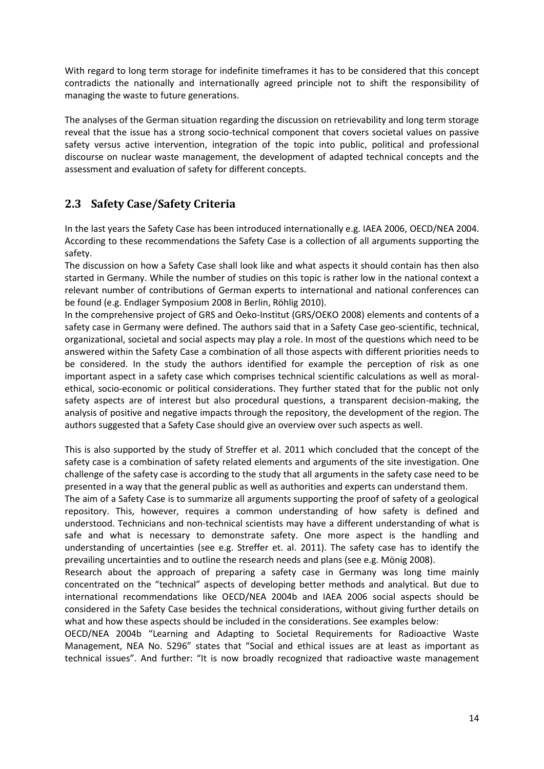With regard to long term storage for indefinite timeframes it has to be considered that this concept contradicts the nationally and internationally agreed principle not to shift the responsibility of managing the waste to future generations.

The analyses of the German situation regarding the discussion on retrievability and long term storage reveal that the issue has a strong socio-technical component that covers societal values on passive safety versus active intervention, integration of the topic into public, political and professional discourse on nuclear waste management, the development of adapted technical concepts and the assessment and evaluation of safety for different concepts.

### <span id="page-15-0"></span>**2.3 Safety Case/Safety Criteria**

In the last years the Safety Case has been introduced internationally e.g. IAEA 2006, OECD/NEA 2004. According to these recommendations the Safety Case is a collection of all arguments supporting the safety.

The discussion on how a Safety Case shall look like and what aspects it should contain has then also started in Germany. While the number of studies on this topic is rather low in the national context a relevant number of contributions of German experts to international and national conferences can be found (e.g. Endlager Symposium 2008 in Berlin, Röhlig 2010).

In the comprehensive project of GRS and Oeko-Institut (GRS/OEKO 2008) elements and contents of a safety case in Germany were defined. The authors said that in a Safety Case geo-scientific, technical, organizational, societal and social aspects may play a role. In most of the questions which need to be answered within the Safety Case a combination of all those aspects with different priorities needs to be considered. In the study the authors identified for example the perception of risk as one important aspect in a safety case which comprises technical scientific calculations as well as moralethical, socio-economic or political considerations. They further stated that for the public not only safety aspects are of interest but also procedural questions, a transparent decision-making, the analysis of positive and negative impacts through the repository, the development of the region. The authors suggested that a Safety Case should give an overview over such aspects as well.

This is also supported by the study of Streffer et al. 2011 which concluded that the concept of the safety case is a combination of safety related elements and arguments of the site investigation. One challenge of the safety case is according to the study that all arguments in the safety case need to be presented in a way that the general public as well as authorities and experts can understand them.

The aim of a Safety Case is to summarize all arguments supporting the proof of safety of a geological repository. This, however, requires a common understanding of how safety is defined and understood. Technicians and non-technical scientists may have a different understanding of what is safe and what is necessary to demonstrate safety. One more aspect is the handling and understanding of uncertainties (see e.g. Streffer et. al. 2011). The safety case has to identify the prevailing uncertainties and to outline the research needs and plans (see e.g. Mönig 2008).

Research about the approach of preparing a safety case in Germany was long time mainly concentrated on the "technical" aspects of developing better methods and analytical. But due to international recommendations like OECD/NEA 2004b and IAEA 2006 social aspects should be considered in the Safety Case besides the technical considerations, without giving further details on what and how these aspects should be included in the considerations. See examples below:

OECD/NEA 2004b "Learning and Adapting to Societal Requirements for Radioactive Waste Management, NEA No. 5296" states that "Social and ethical issues are at least as important as technical issues". And further: "It is now broadly recognized that radioactive waste management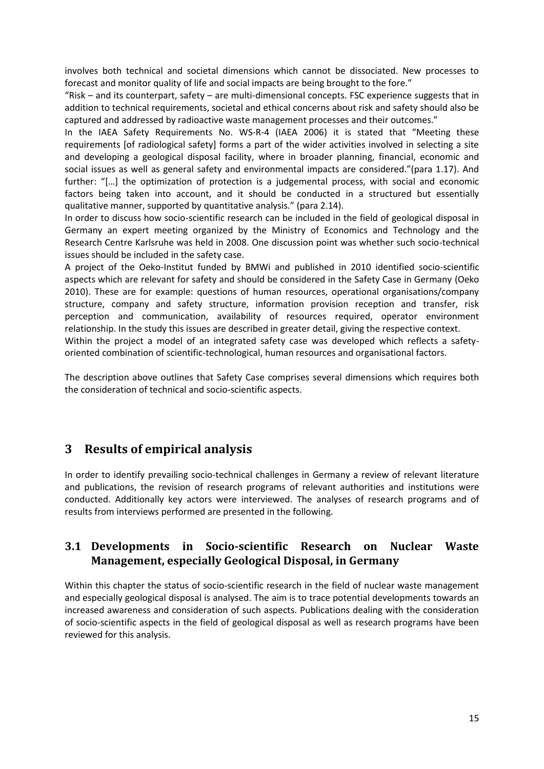involves both technical and societal dimensions which cannot be dissociated. New processes to forecast and monitor quality of life and social impacts are being brought to the fore."

"Risk  $-$  and its counterpart, safety  $-$  are multi-dimensional concepts. FSC experience suggests that in addition to technical requirements, societal and ethical concerns about risk and safety should also be captured and addressed by radioactive waste management processes and their outcomes."

In the IAEA Safety Requirements No. WS-R-4 (IAEA 2006) it is stated that "Meeting these requirements [of radiological safety] forms a part of the wider activities involved in selecting a site and developing a geological disposal facility, where in broader planning, financial, economic and social issues as well as general safety and environmental impacts are considered."(para 1.17). And further: "[...] the optimization of protection is a judgemental process, with social and economic factors being taken into account, and it should be conducted in a structured but essentially qualitative manner, supported by quantitative analysis." (para 2.14).

In order to discuss how socio-scientific research can be included in the field of geological disposal in Germany an expert meeting organized by the Ministry of Economics and Technology and the Research Centre Karlsruhe was held in 2008. One discussion point was whether such socio-technical issues should be included in the safety case.

A project of the Oeko-Institut funded by BMWi and published in 2010 identified socio-scientific aspects which are relevant for safety and should be considered in the Safety Case in Germany (Oeko 2010). These are for example: questions of human resources, operational organisations/company structure, company and safety structure, information provision reception and transfer, risk perception and communication, availability of resources required, operator environment relationship. In the study this issues are described in greater detail, giving the respective context.

Within the project a model of an integrated safety case was developed which reflects a safetyoriented combination of scientific-technological, human resources and organisational factors.

The description above outlines that Safety Case comprises several dimensions which requires both the consideration of technical and socio-scientific aspects.

### <span id="page-16-0"></span>**3 Results of empirical analysis**

In order to identify prevailing socio-technical challenges in Germany a review of relevant literature and publications, the revision of research programs of relevant authorities and institutions were conducted. Additionally key actors were interviewed. The analyses of research programs and of results from interviews performed are presented in the following.

#### <span id="page-16-1"></span>**3.1 Developments in Socio-scientific Research on Nuclear Waste Management, especially Geological Disposal, in Germany**

Within this chapter the status of socio-scientific research in the field of nuclear waste management and especially geological disposal is analysed. The aim is to trace potential developments towards an increased awareness and consideration of such aspects. Publications dealing with the consideration of socio-scientific aspects in the field of geological disposal as well as research programs have been reviewed for this analysis.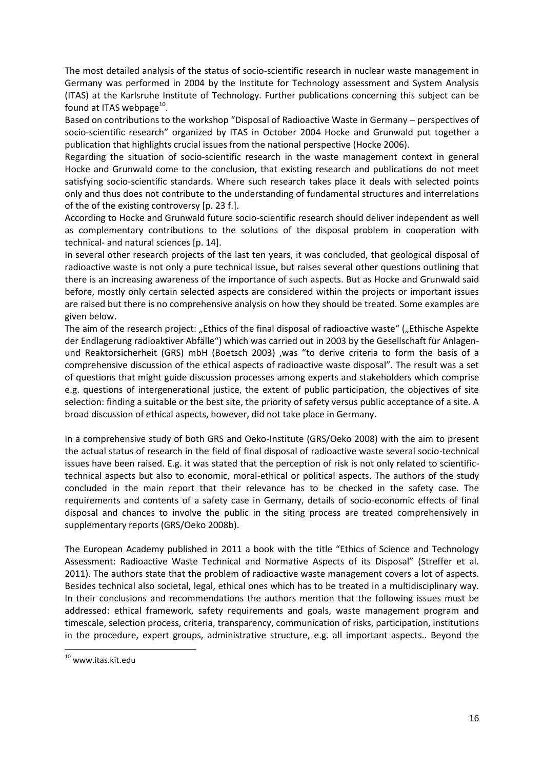The most detailed analysis of the status of socio-scientific research in nuclear waste management in Germany was performed in 2004 by the Institute for Technology assessment and System Analysis (ITAS) at the Karlsruhe Institute of Technology. Further publications concerning this subject can be found at ITAS webpage $^{10}$ .

Based on contributions to the workshop "Disposal of Radioactive Waste in Germany – perspectives of socio-scientific research" organized by ITAS in October 2004 Hocke and Grunwald put together a publication that highlights crucial issues from the national perspective (Hocke 2006).

Regarding the situation of socio-scientific research in the waste management context in general Hocke and Grunwald come to the conclusion, that existing research and publications do not meet satisfying socio-scientific standards. Where such research takes place it deals with selected points only and thus does not contribute to the understanding of fundamental structures and interrelations of the of the existing controversy [p. 23 f.].

According to Hocke and Grunwald future socio-scientific research should deliver independent as well as complementary contributions to the solutions of the disposal problem in cooperation with technical- and natural sciences [p. 14].

In several other research projects of the last ten years, it was concluded, that geological disposal of radioactive waste is not only a pure technical issue, but raises several other questions outlining that there is an increasing awareness of the importance of such aspects. But as Hocke and Grunwald said before, mostly only certain selected aspects are considered within the projects or important issues are raised but there is no comprehensive analysis on how they should be treated. Some examples are given below.

The aim of the research project: "Ethics of the final disposal of radioactive waste" ("Ethische Aspekte der Endlagerung radioaktiver Abfälle") which was carried out in 2003 by the Gesellschaft für Anlagenund Reaktorsicherheit (GRS) mbH (Boetsch 2003) ,was "to derive criteria to form the basis of a comprehensive discussion of the ethical aspects of radioactive waste disposal". The result was a set of questions that might guide discussion processes among experts and stakeholders which comprise e.g. questions of intergenerational justice, the extent of public participation, the objectives of site selection: finding a suitable or the best site, the priority of safety versus public acceptance of a site. A broad discussion of ethical aspects, however, did not take place in Germany.

In a comprehensive study of both GRS and Oeko-Institute (GRS/Oeko 2008) with the aim to present the actual status of research in the field of final disposal of radioactive waste several socio-technical issues have been raised. E.g. it was stated that the perception of risk is not only related to scientifictechnical aspects but also to economic, moral-ethical or political aspects. The authors of the study concluded in the main report that their relevance has to be checked in the safety case. The requirements and contents of a safety case in Germany, details of socio-economic effects of final disposal and chances to involve the public in the siting process are treated comprehensively in supplementary reports (GRS/Oeko 2008b).

The European Academy published in 2011 a book with the title "Ethics of Science and Technology Assessment: Radioactive Waste Technical and Normative Aspects of its Disposal" (Streffer et al. 2011). The authors state that the problem of radioactive waste management covers a lot of aspects. Besides technical also societal, legal, ethical ones which has to be treated in a multidisciplinary way. In their conclusions and recommendations the authors mention that the following issues must be addressed: ethical framework, safety requirements and goals, waste management program and timescale, selection process, criteria, transparency, communication of risks, participation, institutions in the procedure, expert groups, administrative structure, e.g. all important aspects.. Beyond the

 $\overline{a}$ 

<sup>&</sup>lt;sup>10</sup> www.itas.kit.edu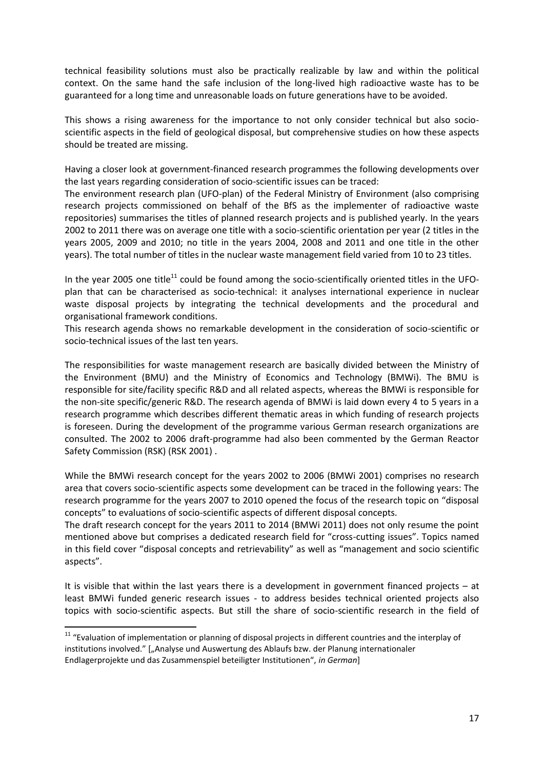technical feasibility solutions must also be practically realizable by law and within the political context. On the same hand the safe inclusion of the long-lived high radioactive waste has to be guaranteed for a long time and unreasonable loads on future generations have to be avoided.

This shows a rising awareness for the importance to not only consider technical but also socioscientific aspects in the field of geological disposal, but comprehensive studies on how these aspects should be treated are missing.

Having a closer look at government-financed research programmes the following developments over the last years regarding consideration of socio-scientific issues can be traced:

The environment research plan (UFO-plan) of the Federal Ministry of Environment (also comprising research projects commissioned on behalf of the BfS as the implementer of radioactive waste repositories) summarises the titles of planned research projects and is published yearly. In the years 2002 to 2011 there was on average one title with a socio-scientific orientation per year (2 titles in the years 2005, 2009 and 2010; no title in the years 2004, 2008 and 2011 and one title in the other years). The total number of titles in the nuclear waste management field varied from 10 to 23 titles.

In the year 2005 one title<sup>11</sup> could be found among the socio-scientifically oriented titles in the UFOplan that can be characterised as socio-technical: it analyses international experience in nuclear waste disposal projects by integrating the technical developments and the procedural and organisational framework conditions.

This research agenda shows no remarkable development in the consideration of socio-scientific or socio-technical issues of the last ten years.

The responsibilities for waste management research are basically divided between the Ministry of the Environment (BMU) and the Ministry of Economics and Technology (BMWi). The BMU is responsible for site/facility specific R&D and all related aspects, whereas the BMWi is responsible for the non-site specific/generic R&D. The research agenda of BMWi is laid down every 4 to 5 years in a research programme which describes different thematic areas in which funding of research projects is foreseen. During the development of the programme various German research organizations are consulted. The 2002 to 2006 draft-programme had also been commented by the German Reactor Safety Commission (RSK) (RSK 2001) .

While the BMWi research concept for the years 2002 to 2006 (BMWi 2001) comprises no research area that covers socio-scientific aspects some development can be traced in the following years: The research programme for the years 2007 to 2010 opened the focus of the research topic on "disposal concepts" to evaluations of socio-scientific aspects of different disposal concepts.

The draft research concept for the years 2011 to 2014 (BMWi 2011) does not only resume the point mentioned above but comprises a dedicated research field for "cross-cutting issues". Topics named in this field cover "disposal concepts and retrievability" as well as "management and socio scientific aspects".

It is visible that within the last years there is a development in government financed projects – at least BMWi funded generic research issues - to address besides technical oriented projects also topics with socio-scientific aspects. But still the share of socio-scientific research in the field of

 $\overline{a}$ 

<sup>&</sup>lt;sup>11</sup> "Evaluation of implementation or planning of disposal projects in different countries and the interplay of institutions involved." ["Analyse und Auswertung des Ablaufs bzw. der Planung internationaler Endlagerprojekte und das Zusammenspiel beteiligter Institutionen", *in German*]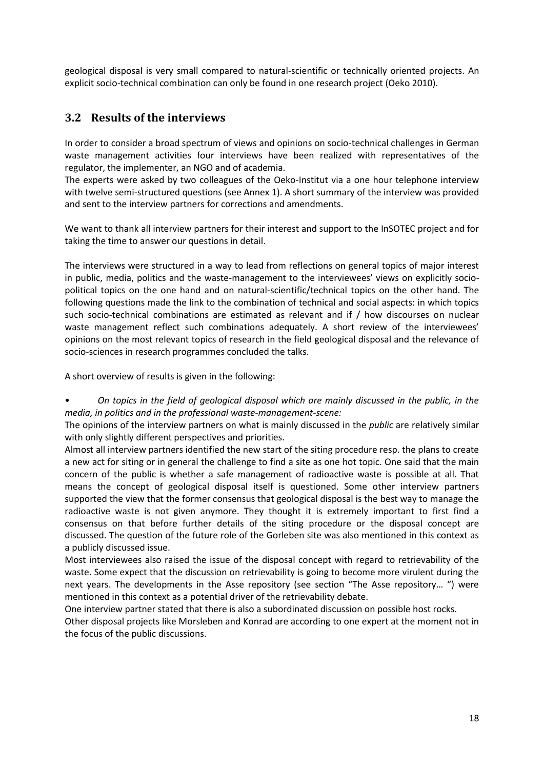geological disposal is very small compared to natural-scientific or technically oriented projects. An explicit socio-technical combination can only be found in one research project (Oeko 2010).

#### <span id="page-19-0"></span>**3.2 Results of the interviews**

In order to consider a broad spectrum of views and opinions on socio-technical challenges in German waste management activities four interviews have been realized with representatives of the regulator, the implementer, an NGO and of academia.

The experts were asked by two colleagues of the Oeko-Institut via a one hour telephone interview with twelve semi-structured questions (see Annex 1). A short summary of the interview was provided and sent to the interview partners for corrections and amendments.

We want to thank all interview partners for their interest and support to the InSOTEC project and for taking the time to answer our questions in detail.

The interviews were structured in a way to lead from reflections on general topics of major interest in public, media, politics and the waste-management to the interviewees' views on explicitly sociopolitical topics on the one hand and on natural-scientific/technical topics on the other hand. The following questions made the link to the combination of technical and social aspects: in which topics such socio-technical combinations are estimated as relevant and if / how discourses on nuclear waste management reflect such combinations adequately. A short review of the interviewees' opinions on the most relevant topics of research in the field geological disposal and the relevance of socio-sciences in research programmes concluded the talks.

A short overview of results is given in the following:

• *On topics in the field of geological disposal which are mainly discussed in the public, in the media, in politics and in the professional waste-management-scene:*

The opinions of the interview partners on what is mainly discussed in the *public* are relatively similar with only slightly different perspectives and priorities.

Almost all interview partners identified the new start of the siting procedure resp. the plans to create a new act for siting or in general the challenge to find a site as one hot topic. One said that the main concern of the public is whether a safe management of radioactive waste is possible at all. That means the concept of geological disposal itself is questioned. Some other interview partners supported the view that the former consensus that geological disposal is the best way to manage the radioactive waste is not given anymore. They thought it is extremely important to first find a consensus on that before further details of the siting procedure or the disposal concept are discussed. The question of the future role of the Gorleben site was also mentioned in this context as a publicly discussed issue.

Most interviewees also raised the issue of the disposal concept with regard to retrievability of the waste. Some expect that the discussion on retrievability is going to become more virulent during the next years. The developments in the Asse repository (see section "The Asse repository… ") were mentioned in this context as a potential driver of the retrievability debate.

One interview partner stated that there is also a subordinated discussion on possible host rocks.

Other disposal projects like Morsleben and Konrad are according to one expert at the moment not in the focus of the public discussions.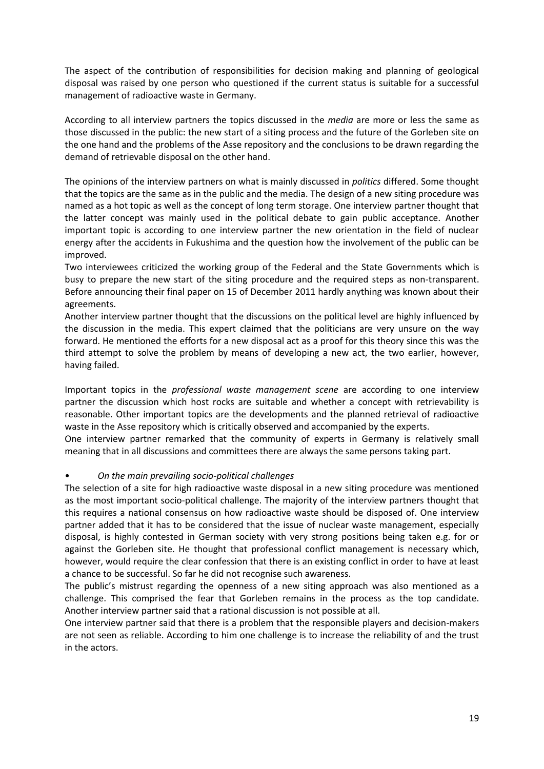The aspect of the contribution of responsibilities for decision making and planning of geological disposal was raised by one person who questioned if the current status is suitable for a successful management of radioactive waste in Germany.

According to all interview partners the topics discussed in the *media* are more or less the same as those discussed in the public: the new start of a siting process and the future of the Gorleben site on the one hand and the problems of the Asse repository and the conclusions to be drawn regarding the demand of retrievable disposal on the other hand.

The opinions of the interview partners on what is mainly discussed in *politics* differed. Some thought that the topics are the same as in the public and the media. The design of a new siting procedure was named as a hot topic as well as the concept of long term storage. One interview partner thought that the latter concept was mainly used in the political debate to gain public acceptance. Another important topic is according to one interview partner the new orientation in the field of nuclear energy after the accidents in Fukushima and the question how the involvement of the public can be improved.

Two interviewees criticized the working group of the Federal and the State Governments which is busy to prepare the new start of the siting procedure and the required steps as non-transparent. Before announcing their final paper on 15 of December 2011 hardly anything was known about their agreements.

Another interview partner thought that the discussions on the political level are highly influenced by the discussion in the media. This expert claimed that the politicians are very unsure on the way forward. He mentioned the efforts for a new disposal act as a proof for this theory since this was the third attempt to solve the problem by means of developing a new act, the two earlier, however, having failed.

Important topics in the *professional waste management scene* are according to one interview partner the discussion which host rocks are suitable and whether a concept with retrievability is reasonable. Other important topics are the developments and the planned retrieval of radioactive waste in the Asse repository which is critically observed and accompanied by the experts.

One interview partner remarked that the community of experts in Germany is relatively small meaning that in all discussions and committees there are always the same persons taking part.

#### • *On the main prevailing socio-political challenges*

The selection of a site for high radioactive waste disposal in a new siting procedure was mentioned as the most important socio-political challenge. The majority of the interview partners thought that this requires a national consensus on how radioactive waste should be disposed of. One interview partner added that it has to be considered that the issue of nuclear waste management, especially disposal, is highly contested in German society with very strong positions being taken e.g. for or against the Gorleben site. He thought that professional conflict management is necessary which, however, would require the clear confession that there is an existing conflict in order to have at least a chance to be successful. So far he did not recognise such awareness.

The public's mistrust regarding the openness of a new siting approach was also mentioned as a challenge. This comprised the fear that Gorleben remains in the process as the top candidate. Another interview partner said that a rational discussion is not possible at all.

One interview partner said that there is a problem that the responsible players and decision-makers are not seen as reliable. According to him one challenge is to increase the reliability of and the trust in the actors.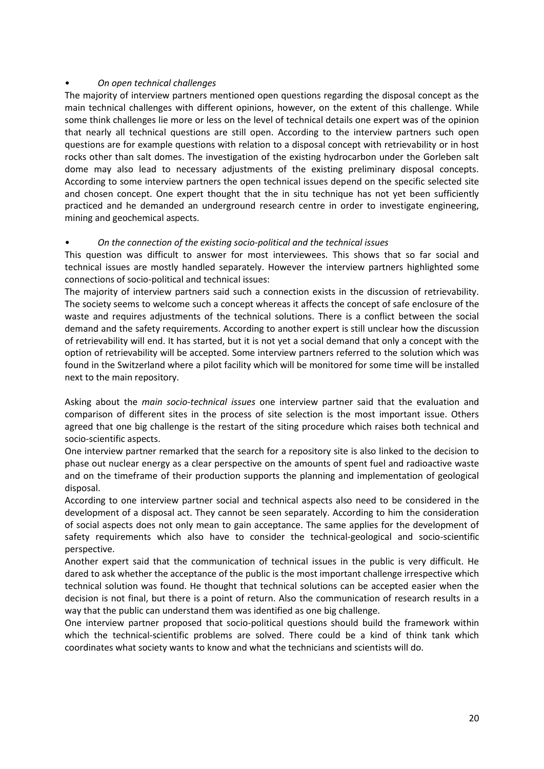#### • *On open technical challenges*

The majority of interview partners mentioned open questions regarding the disposal concept as the main technical challenges with different opinions, however, on the extent of this challenge. While some think challenges lie more or less on the level of technical details one expert was of the opinion that nearly all technical questions are still open. According to the interview partners such open questions are for example questions with relation to a disposal concept with retrievability or in host rocks other than salt domes. The investigation of the existing hydrocarbon under the Gorleben salt dome may also lead to necessary adjustments of the existing preliminary disposal concepts. According to some interview partners the open technical issues depend on the specific selected site and chosen concept. One expert thought that the in situ technique has not yet been sufficiently practiced and he demanded an underground research centre in order to investigate engineering, mining and geochemical aspects.

#### • *On the connection of the existing socio-political and the technical issues*

This question was difficult to answer for most interviewees. This shows that so far social and technical issues are mostly handled separately. However the interview partners highlighted some connections of socio-political and technical issues:

The majority of interview partners said such a connection exists in the discussion of retrievability. The society seems to welcome such a concept whereas it affects the concept of safe enclosure of the waste and requires adjustments of the technical solutions. There is a conflict between the social demand and the safety requirements. According to another expert is still unclear how the discussion of retrievability will end. It has started, but it is not yet a social demand that only a concept with the option of retrievability will be accepted. Some interview partners referred to the solution which was found in the Switzerland where a pilot facility which will be monitored for some time will be installed next to the main repository.

Asking about the *main socio-technical issues* one interview partner said that the evaluation and comparison of different sites in the process of site selection is the most important issue. Others agreed that one big challenge is the restart of the siting procedure which raises both technical and socio-scientific aspects.

One interview partner remarked that the search for a repository site is also linked to the decision to phase out nuclear energy as a clear perspective on the amounts of spent fuel and radioactive waste and on the timeframe of their production supports the planning and implementation of geological disposal.

According to one interview partner social and technical aspects also need to be considered in the development of a disposal act. They cannot be seen separately. According to him the consideration of social aspects does not only mean to gain acceptance. The same applies for the development of safety requirements which also have to consider the technical-geological and socio-scientific perspective.

Another expert said that the communication of technical issues in the public is very difficult. He dared to ask whether the acceptance of the public is the most important challenge irrespective which technical solution was found. He thought that technical solutions can be accepted easier when the decision is not final, but there is a point of return. Also the communication of research results in a way that the public can understand them was identified as one big challenge.

One interview partner proposed that socio-political questions should build the framework within which the technical-scientific problems are solved. There could be a kind of think tank which coordinates what society wants to know and what the technicians and scientists will do.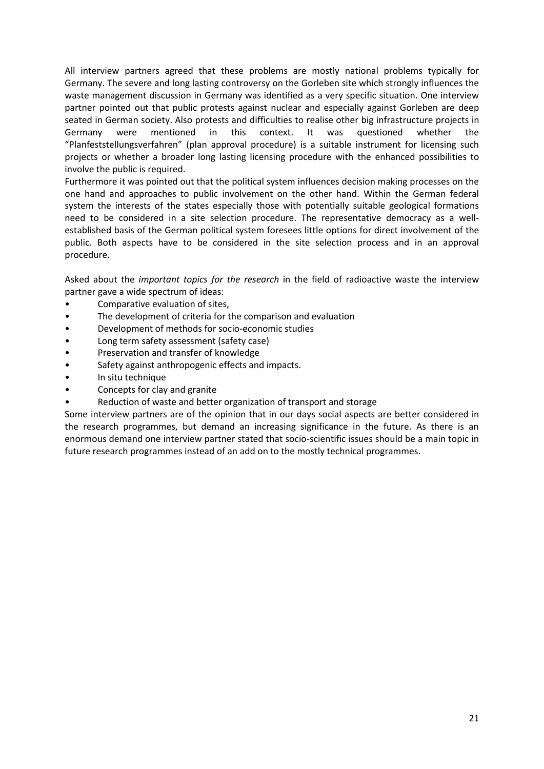All interview partners agreed that these problems are mostly national problems typically for Germany. The severe and long lasting controversy on the Gorleben site which strongly influences the waste management discussion in Germany was identified as a very specific situation. One interview partner pointed out that public protests against nuclear and especially against Gorleben are deep seated in German society. Also protests and difficulties to realise other big infrastructure projects in Germany were mentioned in this context. It was questioned whether the "Planfeststellungsverfahren" (plan approval procedure) is a suitable instrument for licensing such projects or whether a broader long lasting licensing procedure with the enhanced possibilities to involve the public is required.

Furthermore it was pointed out that the political system influences decision making processes on the one hand and approaches to public involvement on the other hand. Within the German federal system the interests of the states especially those with potentially suitable geological formations need to be considered in a site selection procedure. The representative democracy as a wellestablished basis of the German political system foresees little options for direct involvement of the public. Both aspects have to be considered in the site selection process and in an approval procedure.

Asked about the *important topics for the research* in the field of radioactive waste the interview partner gave a wide spectrum of ideas:

- Comparative evaluation of sites,
- The development of criteria for the comparison and evaluation
- Development of methods for socio-economic studies
- Long term safety assessment (safety case)
- Preservation and transfer of knowledge
- Safety against anthropogenic effects and impacts.
- In situ technique
- Concepts for clay and granite
- Reduction of waste and better organization of transport and storage

Some interview partners are of the opinion that in our days social aspects are better considered in the research programmes, but demand an increasing significance in the future. As there is an enormous demand one interview partner stated that socio-scientific issues should be a main topic in future research programmes instead of an add on to the mostly technical programmes.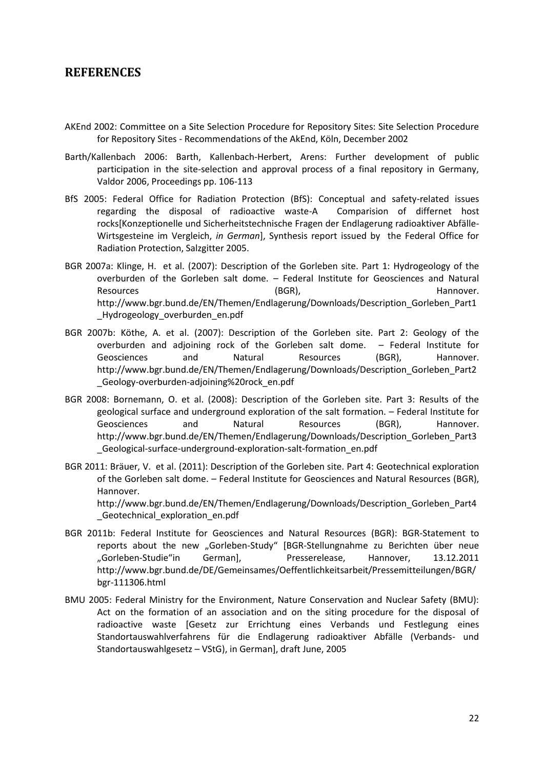#### <span id="page-23-0"></span>**REFERENCES**

- AKEnd 2002: Committee on a Site Selection Procedure for Repository Sites: Site Selection Procedure for Repository Sites - Recommendations of the AkEnd, Köln, December 2002
- Barth/Kallenbach 2006: Barth, Kallenbach-Herbert, Arens: Further development of public participation in the site-selection and approval process of a final repository in Germany, Valdor 2006, Proceedings pp. 106-113
- BfS 2005: Federal Office for Radiation Protection (BfS): Conceptual and safety-related issues regarding the disposal of radioactive waste-A Comparision of differnet host rocks[Konzeptionelle und Sicherheitstechnische Fragen der Endlagerung radioaktiver Abfälle-Wirtsgesteine im Vergleich, *in German*], Synthesis report issued by the Federal Office for Radiation Protection, Salzgitter 2005.
- BGR 2007a: Klinge, H. et al. (2007): Description of the Gorleben site. Part 1: Hydrogeology of the overburden of the Gorleben salt dome. – Federal Institute for Geosciences and Natural Resources and the control (BGR), the control of the Hannover. http://www.bgr.bund.de/EN/Themen/Endlagerung/Downloads/Description\_Gorleben\_Part1 \_Hydrogeology\_overburden\_en.pdf
- BGR 2007b: Köthe, A. et al. (2007): Description of the Gorleben site. Part 2: Geology of the overburden and adjoining rock of the Gorleben salt dome. – Federal Institute for Geosciences and Natural Resources (BGR), Hannover. http://www.bgr.bund.de/EN/Themen/Endlagerung/Downloads/Description\_Gorleben\_Part2 \_Geology-overburden-adjoining%20rock\_en.pdf
- BGR 2008: Bornemann, O. et al. (2008): Description of the Gorleben site. Part 3: Results of the geological surface and underground exploration of the salt formation. – Federal Institute for Geosciences and Natural Resources (BGR), Hannover. http://www.bgr.bund.de/EN/Themen/Endlagerung/Downloads/Description\_Gorleben\_Part3 \_Geological-surface-underground-exploration-salt-formation\_en.pdf
- BGR 2011: Bräuer, V. et al. (2011): Description of the Gorleben site. Part 4: Geotechnical exploration of the Gorleben salt dome. – Federal Institute for Geosciences and Natural Resources (BGR), Hannover. http://www.bgr.bund.de/EN/Themen/Endlagerung/Downloads/Description\_Gorleben\_Part4

Geotechnical exploration en.pdf

- BGR 2011b: Federal Institute for Geosciences and Natural Resources (BGR): BGR-Statement to reports about the new "Gorleben-Study" [BGR-Stellungnahme zu Berichten über neue "Gorleben-Studie"in German], Presserelease, Hannover, 13.12.2011 http://www.bgr.bund.de/DE/Gemeinsames/Oeffentlichkeitsarbeit/Pressemitteilungen/BGR/ bgr-111306.html
- BMU 2005: Federal Ministry for the Environment, Nature Conservation and Nuclear Safety (BMU): Act on the formation of an association and on the siting procedure for the disposal of radioactive waste [Gesetz zur Errichtung eines Verbands und Festlegung eines Standortauswahlverfahrens für die Endlagerung radioaktiver Abfälle (Verbands- und Standortauswahlgesetz – VStG), in German], draft June, 2005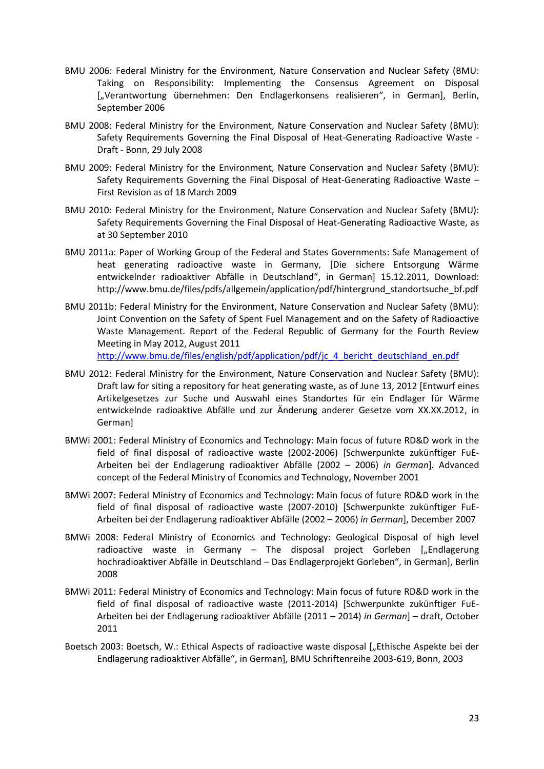- BMU 2006: Federal Ministry for the Environment, Nature Conservation and Nuclear Safety (BMU: Taking on Responsibility: Implementing the Consensus Agreement on Disposal ["Verantwortung übernehmen: Den Endlagerkonsens realisieren", in German], Berlin, September 2006
- BMU 2008: Federal Ministry for the Environment, Nature Conservation and Nuclear Safety (BMU): Safety Requirements Governing the Final Disposal of Heat-Generating Radioactive Waste - Draft - Bonn, 29 July 2008
- BMU 2009: Federal Ministry for the Environment, Nature Conservation and Nuclear Safety (BMU): Safety Requirements Governing the Final Disposal of Heat-Generating Radioactive Waste – First Revision as of 18 March 2009
- BMU 2010: Federal Ministry for the Environment, Nature Conservation and Nuclear Safety (BMU): Safety Requirements Governing the Final Disposal of Heat-Generating Radioactive Waste, as at 30 September 2010
- BMU 2011a: Paper of Working Group of the Federal and States Governments: Safe Management of heat generating radioactive waste in Germany, [Die sichere Entsorgung Wärme entwickelnder radioaktiver Abfälle in Deutschland", in German] 15.12.2011, Download: http://www.bmu.de/files/pdfs/allgemein/application/pdf/hintergrund\_standortsuche\_bf.pdf
- BMU 2011b: Federal Ministry for the Environment, Nature Conservation and Nuclear Safety (BMU): Joint Convention on the Safety of Spent Fuel Management and on the Safety of Radioactive Waste Management. Report of the Federal Republic of Germany for the Fourth Review Meeting in May 2012, August 2011

[http://www.bmu.de/files/english/pdf/application/pdf/jc\\_4\\_bericht\\_deutschland\\_en.pdf](http://www.bmu.de/files/english/pdf/application/pdf/jc_4_bericht_deutschland_en.pdf)

- BMU 2012: Federal Ministry for the Environment, Nature Conservation and Nuclear Safety (BMU): Draft law for siting a repository for heat generating waste, as of June 13, 2012 [Entwurf eines Artikelgesetzes zur Suche und Auswahl eines Standortes für ein Endlager für Wärme entwickelnde radioaktive Abfälle und zur Änderung anderer Gesetze vom XX.XX.2012, in German]
- BMWi 2001: Federal Ministry of Economics and Technology: Main focus of future RD&D work in the field of final disposal of radioactive waste (2002-2006) [Schwerpunkte zukünftiger FuE-Arbeiten bei der Endlagerung radioaktiver Abfälle (2002 – 2006) *in German*]. Advanced concept of the Federal Ministry of Economics and Technology, November 2001
- BMWi 2007: Federal Ministry of Economics and Technology: Main focus of future RD&D work in the field of final disposal of radioactive waste (2007-2010) [Schwerpunkte zukünftiger FuE-Arbeiten bei der Endlagerung radioaktiver Abfälle (2002 – 2006) *in German*], December 2007
- BMWi 2008: Federal Ministry of Economics and Technology: Geological Disposal of high level radioactive waste in Germany  $-$  The disposal project Gorleben ["Endlagerung hochradioaktiver Abfälle in Deutschland – Das Endlagerprojekt Gorleben", in German], Berlin 2008
- BMWi 2011: Federal Ministry of Economics and Technology: Main focus of future RD&D work in the field of final disposal of radioactive waste (2011-2014) [Schwerpunkte zukünftiger FuE-Arbeiten bei der Endlagerung radioaktiver Abfälle (2011 – 2014) *in German*] – draft, October 2011
- Boetsch 2003: Boetsch, W.: Ethical Aspects of radioactive waste disposal ["Ethische Aspekte bei der Endlagerung radioaktiver Abfälle", in German], BMU Schriftenreihe 2003-619, Bonn, 2003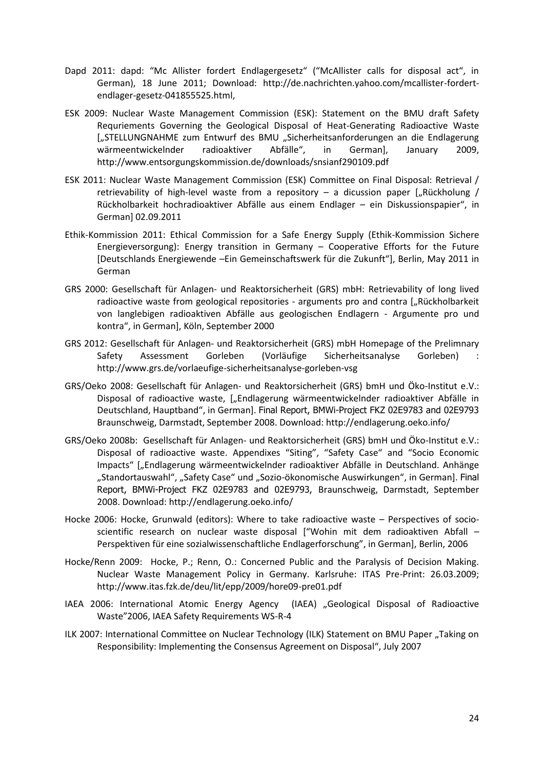- Dapd 2011: dapd: "Mc Allister fordert Endlagergesetz" ("McAllister calls for disposal act", in German), 18 June 2011; Download: http://de.nachrichten.yahoo.com/mcallister-fordertendlager-gesetz-041855525.html,
- ESK 2009: Nuclear Waste Management Commission (ESK): Statement on the BMU draft Safety Requriements Governing the Geological Disposal of Heat-Generating Radioactive Waste ["STELLUNGNAHME zum Entwurf des BMU "Sicherheitsanforderungen an die Endlagerung wärmeentwickelnder radioaktiver Abfälle", in German], January 2009, http://www.entsorgungskommission.de/downloads/snsianf290109.pdf
- ESK 2011: Nuclear Waste Management Commission (ESK) Committee on Final Disposal: Retrieval / retrievability of high-level waste from a repository  $-$  a dicussion paper ["Rückholung / Rückholbarkeit hochradioaktiver Abfälle aus einem Endlager – ein Diskussionspapier", in German] 02.09.2011
- Ethik-Kommission 2011: Ethical Commission for a Safe Energy Supply (Ethik-Kommission Sichere Energieversorgung): Energy transition in Germany – Cooperative Efforts for the Future [Deutschlands Energiewende –Ein Gemeinschaftswerk für die Zukunft"], Berlin, May 2011 in German
- GRS 2000: Gesellschaft für Anlagen- und Reaktorsicherheit (GRS) mbH: Retrievability of long lived radioactive waste from geological repositories - arguments pro and contra ["Rückholbarkeit von langlebigen radioaktiven Abfälle aus geologischen Endlagern - Argumente pro und kontra", in German], Köln, September 2000
- GRS 2012: Gesellschaft für Anlagen- und Reaktorsicherheit (GRS) mbH Homepage of the Prelimnary Safety Assessment Gorleben (Vorläufige Sicherheitsanalyse Gorleben) : http://www.grs.de/vorlaeufige-sicherheitsanalyse-gorleben-vsg
- GRS/Oeko 2008: Gesellschaft für Anlagen- und Reaktorsicherheit (GRS) bmH und Öko-Institut e.V.: Disposal of radioactive waste, ["Endlagerung wärmeentwickelnder radioaktiver Abfälle in Deutschland, Hauptband", in German]. Final Report, BMWi-Project FKZ 02E9783 and 02E9793 Braunschweig, Darmstadt, September 2008. Download: http://endlagerung.oeko.info/
- GRS/Oeko 2008b: Gesellschaft für Anlagen- und Reaktorsicherheit (GRS) bmH und Öko-Institut e.V.: Disposal of radioactive waste. Appendixes "Siting", "Safety Case" and "Socio Economic Impacts" ["Endlagerung wärmeentwickelnder radioaktiver Abfälle in Deutschland. Anhänge "Standortauswahl", "Safety Case" und "Sozio-ökonomische Auswirkungen", in German]. Final Report, BMWi-Project FKZ 02E9783 and 02E9793, Braunschweig, Darmstadt, September 2008. Download: http://endlagerung.oeko.info/
- Hocke 2006: Hocke, Grunwald (editors): Where to take radioactive waste Perspectives of socioscientific research on nuclear waste disposal ["Wohin mit dem radioaktiven Abfall – Perspektiven für eine sozialwissenschaftliche Endlagerforschung", in German], Berlin, 2006
- Hocke/Renn 2009: Hocke, P.; Renn, O.: Concerned Public and the Paralysis of Decision Making. Nuclear Waste Management Policy in Germany. Karlsruhe: ITAS Pre-Print: 26.03.2009; http://www.itas.fzk.de/deu/lit/epp/2009/hore09-pre01.pdf
- IAEA 2006: International Atomic Energy Agency (IAEA) "Geological Disposal of Radioactive Waste"2006, IAEA Safety Requirements WS-R-4
- ILK 2007: International Committee on Nuclear Technology (ILK) Statement on BMU Paper "Taking on Responsibility: Implementing the Consensus Agreement on Disposal", July 2007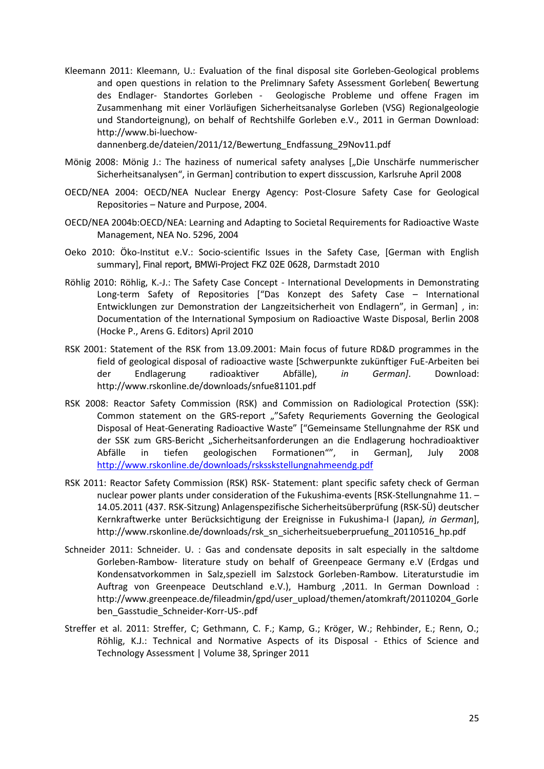Kleemann 2011: Kleemann, U.: Evaluation of the final disposal site Gorleben-Geological problems and open questions in relation to the Prelimnary Safety Assessment Gorleben( Bewertung des Endlager- Standortes Gorleben - Geologische Probleme und offene Fragen im Zusammenhang mit einer Vorläufigen Sicherheitsanalyse Gorleben (VSG) Regionalgeologie und Standorteignung), on behalf of Rechtshilfe Gorleben e.V., 2011 in German Download: http://www.bi-luechow-

dannenberg.de/dateien/2011/12/Bewertung\_Endfassung\_29Nov11.pdf

- Mönig 2008: Mönig J.: The haziness of numerical safety analyses ["Die Unschärfe nummerischer Sicherheitsanalysen", in German] contribution to expert disscussion, Karlsruhe April 2008
- OECD/NEA 2004: OECD/NEA Nuclear Energy Agency: Post-Closure Safety Case for Geological Repositories – Nature and Purpose, 2004.
- OECD/NEA 2004b:OECD/NEA: Learning and Adapting to Societal Requirements for Radioactive Waste Management, NEA No. 5296, 2004
- Oeko 2010: Öko-Institut e.V.: Socio-scientific Issues in the Safety Case, [German with English summary], Final report, BMWi-Project FKZ 02E 0628, Darmstadt 2010
- Röhlig 2010: Röhlig, K.-J.: The Safety Case Concept International Developments in Demonstrating Long-term Safety of Repositories ["Das Konzept des Safety Case – International Entwicklungen zur Demonstration der Langzeitsicherheit von Endlagern", in German] , in: Documentation of the International Symposium on Radioactive Waste Disposal, Berlin 2008 (Hocke P., Arens G. Editors) April 2010
- RSK 2001: Statement of the RSK from 13.09.2001: Main focus of future RD&D programmes in the field of geological disposal of radioactive waste [Schwerpunkte zukünftiger FuE-Arbeiten bei der Endlagerung radioaktiver Abfälle), *in German]*. Download: http://www.rskonline.de/downloads/snfue81101.pdf
- RSK 2008: Reactor Safety Commission (RSK) and Commission on Radiological Protection (SSK): Common statement on the GRS-report ""Safety Requriements Governing the Geological Disposal of Heat-Generating Radioactive Waste" ["Gemeinsame Stellungnahme der RSK und der SSK zum GRS-Bericht "Sicherheitsanforderungen an die Endlagerung hochradioaktiver Abfälle in tiefen geologischen Formationen"", in German], July 2008 <http://www.rskonline.de/downloads/rsksskstellungnahmeendg.pdf>
- RSK 2011: Reactor Safety Commission (RSK) RSK- Statement: plant specific safety check of German nuclear power plants under consideration of the Fukushima-events [RSK-Stellungnahme 11. – 14.05.2011 (437. RSK-Sitzung) Anlagenspezifische Sicherheitsüberprüfung (RSK-SÜ) deutscher Kernkraftwerke unter Berücksichtigung der Ereignisse in Fukushima-I (Japan*), in German*], http://www.rskonline.de/downloads/rsk\_sn\_sicherheitsueberpruefung\_20110516\_hp.pdf
- Schneider 2011: Schneider. U. : Gas and condensate deposits in salt especially in the saltdome Gorleben-Rambow- literature study on behalf of Greenpeace Germany e.V (Erdgas und Kondensatvorkommen in Salz,speziell im Salzstock Gorleben-Rambow. Literaturstudie im Auftrag von Greenpeace Deutschland e.V.), Hamburg ,2011. In German Download : http://www.greenpeace.de/fileadmin/gpd/user\_upload/themen/atomkraft/20110204\_Gorle ben\_Gasstudie\_Schneider-Korr-US-.pdf
- Streffer et al. 2011: Streffer, C; Gethmann, C. F.; Kamp, G.; Kröger, W.; Rehbinder, E.; Renn, O.; Röhlig, K.J.: Technical and Normative Aspects of its Disposal - Ethics of Science and Technology Assessment | Volume 38, Springer 2011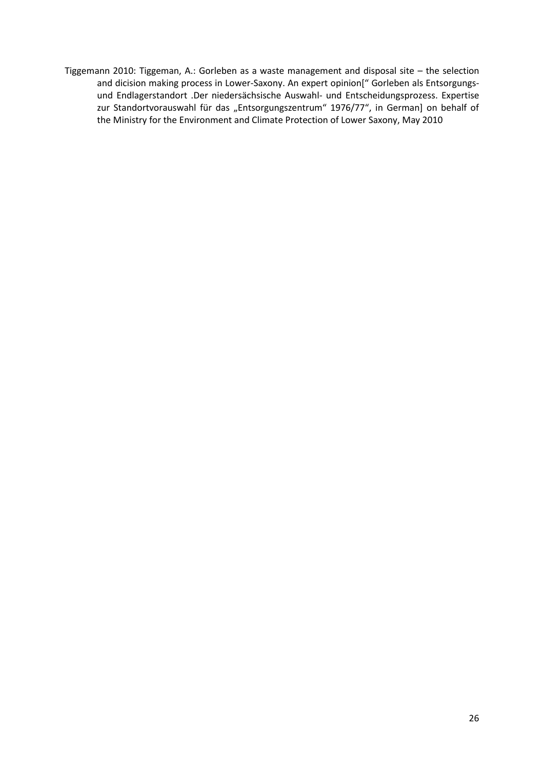Tiggemann 2010: Tiggeman, A.: Gorleben as a waste management and disposal site – the selection and dicision making process in Lower-Saxony. An expert opinion[" Gorleben als Entsorgungsund Endlagerstandort .Der niedersächsische Auswahl- und Entscheidungsprozess. Expertise zur Standortvorauswahl für das "Entsorgungszentrum" 1976/77", in German] on behalf of the Ministry for the Environment and Climate Protection of Lower Saxony, May 2010